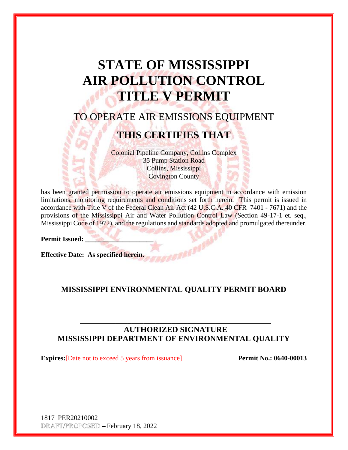# **STATE OF MISSISSIPPI AIR POLLUTION CONTROL TITLE V PERMIT**

## TO OPERATE AIR EMISSIONS EQUIPMENT

## **THIS CERTIFIES THAT**

Colonial Pipeline Company, Collins Complex 35 Pump Station Road Collins, Mississippi Covington County

has been granted permission to operate air emissions equipment in accordance with emission limitations, monitoring requirements and conditions set forth herein. This permit is issued in accordance with Title V of the Federal Clean Air Act (42 U.S.C.A. 40 CFR 7401 - 7671) and the provisions of the Mississippi Air and Water Pollution Control Law (Section 49-17-1 et. seq., Mississippi Code of 1972), and the regulations and standards adopted and promulgated thereunder.

**Permit Issued:** 

**Effective Date: As specified herein.** 

#### **MISSISSIPPI ENVIRONMENTAL QUALITY PERMIT BOARD**

## **AUTHORIZED SIGNATURE MISSISSIPPI DEPARTMENT OF ENVIRONMENTAL QUALITY**

**\_\_\_\_\_\_\_\_\_\_\_\_\_\_\_\_\_\_\_\_\_\_\_\_\_\_\_\_\_\_\_\_\_\_\_\_\_\_\_\_\_\_\_\_\_\_\_\_**

**Expires:**[Date not to exceed 5 years from issuance] **Permit No.: 0640-00013** 

1817 PER20210002 DRAFT/PROPOSED - February 18, 2022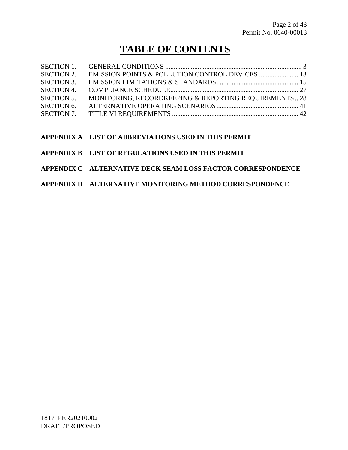## **TABLE OF CONTENTS**

| <b>SECTION 2.</b> |                                                       |  |
|-------------------|-------------------------------------------------------|--|
| <b>SECTION 3.</b> |                                                       |  |
| <b>SECTION 4.</b> |                                                       |  |
| <b>SECTION 5.</b> | MONITORING, RECORDKEEPING & REPORTING REQUIREMENTS 28 |  |
| <b>SECTION 6.</b> |                                                       |  |
|                   |                                                       |  |

#### **APPENDIX A LIST OF ABBREVIATIONS USED IN THIS PERMIT**

#### **APPENDIX B LIST OF REGULATIONS USED IN THIS PERMIT**

#### **APPENDIX C ALTERNATIVE DECK SEAM LOSS FACTOR CORRESPONDENCE**

#### **APPENDIX D ALTERNATIVE MONITORING METHOD CORRESPONDENCE**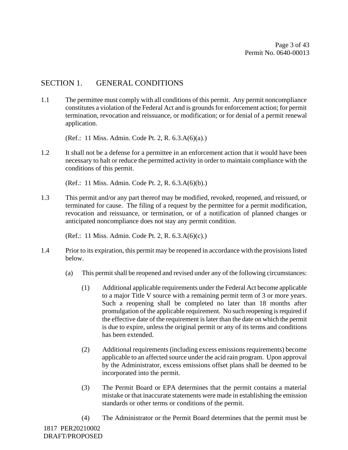### SECTION 1. GENERAL CONDITIONS

1.1 The permittee must comply with all conditions of this permit. Any permit noncompliance constitutes a violation of the Federal Act and is grounds for enforcement action; for permit termination, revocation and reissuance, or modification; or for denial of a permit renewal application.

(Ref.: 11 Miss. Admin. Code Pt. 2, R. 6.3.A(6)(a).)

1.2 It shall not be a defense for a permittee in an enforcement action that it would have been necessary to halt or reduce the permitted activity in order to maintain compliance with the conditions of this permit.

(Ref.: 11 Miss. Admin. Code Pt. 2, R. 6.3.A(6)(b).)

1.3 This permit and/or any part thereof may be modified, revoked, reopened, and reissued, or terminated for cause. The filing of a request by the permittee for a permit modification, revocation and reissuance, or termination, or of a notification of planned changes or anticipated noncompliance does not stay any permit condition.

(Ref.: 11 Miss. Admin. Code Pt. 2, R. 6.3.A(6)(c).)

- 1.4 Prior to its expiration, this permit may be reopened in accordance with the provisions listed below.
	- (a) This permit shall be reopened and revised under any of the following circumstances:
		- (1) Additional applicable requirements under the Federal Act become applicable to a major Title V source with a remaining permit term of 3 or more years. Such a reopening shall be completed no later than 18 months after promulgation of the applicable requirement. No such reopening is required if the effective date of the requirement is later than the date on which the permit is due to expire, unless the original permit or any of its terms and conditions has been extended.
		- (2) Additional requirements (including excess emissions requirements) become applicable to an affected source under the acid rain program. Upon approval by the Administrator, excess emissions offset plans shall be deemed to be incorporated into the permit.
		- (3) The Permit Board or EPA determines that the permit contains a material mistake or that inaccurate statements were made in establishing the emission standards or other terms or conditions of the permit.
- 1817 PER20210002 DRAFT/PROPOSED (4) The Administrator or the Permit Board determines that the permit must be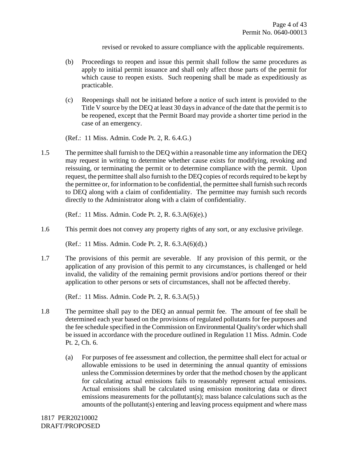revised or revoked to assure compliance with the applicable requirements.

- (b) Proceedings to reopen and issue this permit shall follow the same procedures as apply to initial permit issuance and shall only affect those parts of the permit for which cause to reopen exists. Such reopening shall be made as expeditiously as practicable.
- (c) Reopenings shall not be initiated before a notice of such intent is provided to the Title V source by the DEQ at least 30 days in advance of the date that the permit is to be reopened, except that the Permit Board may provide a shorter time period in the case of an emergency.

(Ref.: 11 Miss. Admin. Code Pt. 2, R. 6.4.G.)

1.5 The permittee shall furnish to the DEQ within a reasonable time any information the DEQ may request in writing to determine whether cause exists for modifying, revoking and reissuing, or terminating the permit or to determine compliance with the permit. Upon request, the permittee shall also furnish to the DEQ copies of records required to be kept by the permittee or, for information to be confidential, the permittee shall furnish such records to DEQ along with a claim of confidentiality. The permittee may furnish such records directly to the Administrator along with a claim of confidentiality.

(Ref.: 11 Miss. Admin. Code Pt. 2, R. 6.3.A(6)(e).)

1.6 This permit does not convey any property rights of any sort, or any exclusive privilege.

(Ref.: 11 Miss. Admin. Code Pt. 2, R. 6.3.A(6)(d).)

1.7 The provisions of this permit are severable. If any provision of this permit, or the application of any provision of this permit to any circumstances, is challenged or held invalid, the validity of the remaining permit provisions and/or portions thereof or their application to other persons or sets of circumstances, shall not be affected thereby.

(Ref.: 11 Miss. Admin. Code Pt. 2, R. 6.3.A(5).)

- 1.8 The permittee shall pay to the DEQ an annual permit fee. The amount of fee shall be determined each year based on the provisions of regulated pollutants for fee purposes and the fee schedule specified in the Commission on Environmental Quality's order which shall be issued in accordance with the procedure outlined in Regulation 11 Miss. Admin. Code Pt. 2, Ch. 6.
	- (a) For purposes of fee assessment and collection, the permittee shall elect for actual or allowable emissions to be used in determining the annual quantity of emissions unless the Commission determines by order that the method chosen by the applicant for calculating actual emissions fails to reasonably represent actual emissions. Actual emissions shall be calculated using emission monitoring data or direct emissions measurements for the pollutant(s); mass balance calculations such as the amounts of the pollutant(s) entering and leaving process equipment and where mass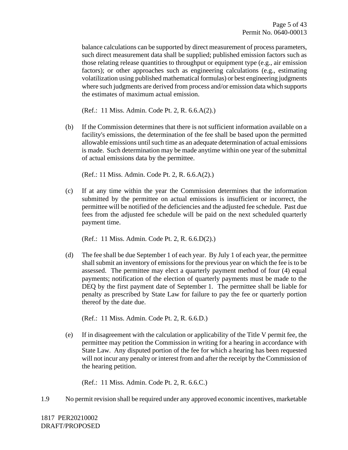balance calculations can be supported by direct measurement of process parameters, such direct measurement data shall be supplied; published emission factors such as those relating release quantities to throughput or equipment type (e.g., air emission factors); or other approaches such as engineering calculations (e.g., estimating volatilization using published mathematical formulas) or best engineering judgments where such judgments are derived from process and/or emission data which supports the estimates of maximum actual emission.

(Ref.: 11 Miss. Admin. Code Pt. 2, R. 6.6.A(2).)

(b) If the Commission determines that there is not sufficient information available on a facility's emissions, the determination of the fee shall be based upon the permitted allowable emissions until such time as an adequate determination of actual emissions is made. Such determination may be made anytime within one year of the submittal of actual emissions data by the permittee.

(Ref.: 11 Miss. Admin. Code Pt. 2, R. 6.6.A(2).)

(c) If at any time within the year the Commission determines that the information submitted by the permittee on actual emissions is insufficient or incorrect, the permittee will be notified of the deficiencies and the adjusted fee schedule. Past due fees from the adjusted fee schedule will be paid on the next scheduled quarterly payment time.

(Ref.: 11 Miss. Admin. Code Pt. 2, R. 6.6.D(2).)

(d) The fee shall be due September 1 of each year. By July 1 of each year, the permittee shall submit an inventory of emissions for the previous year on which the fee is to be assessed. The permittee may elect a quarterly payment method of four (4) equal payments; notification of the election of quarterly payments must be made to the DEQ by the first payment date of September 1. The permittee shall be liable for penalty as prescribed by State Law for failure to pay the fee or quarterly portion thereof by the date due.

(Ref.: 11 Miss. Admin. Code Pt. 2, R. 6.6.D.)

(e) If in disagreement with the calculation or applicability of the Title V permit fee, the permittee may petition the Commission in writing for a hearing in accordance with State Law. Any disputed portion of the fee for which a hearing has been requested will not incur any penalty or interest from and after the receipt by the Commission of the hearing petition.

(Ref.: 11 Miss. Admin. Code Pt. 2, R. 6.6.C.)

1.9 No permit revision shall be required under any approved economic incentives, marketable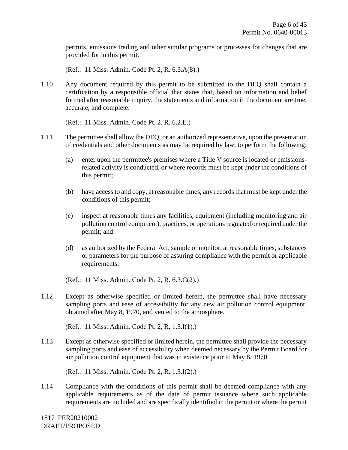permits, emissions trading and other similar programs or processes for changes that are provided for in this permit.

(Ref.: 11 Miss. Admin. Code Pt. 2, R. 6.3.A(8).)

1.10 Any document required by this permit to be submitted to the DEQ shall contain a certification by a responsible official that states that, based on information and belief formed after reasonable inquiry, the statements and information in the document are true, accurate, and complete.

(Ref.: 11 Miss. Admin. Code Pt. 2, R. 6.2.E.)

- 1.11 The permittee shall allow the DEQ, or an authorized representative, upon the presentation of credentials and other documents as may be required by law, to perform the following:
	- (a) enter upon the permittee's premises where a Title V source is located or emissionsrelated activity is conducted, or where records must be kept under the conditions of this permit;
	- (b) have access to and copy, at reasonable times, any records that must be kept under the conditions of this permit;
	- (c) inspect at reasonable times any facilities, equipment (including monitoring and air pollution control equipment), practices, or operations regulated or required under the permit; and
	- (d) as authorized by the Federal Act, sample or monitor, at reasonable times, substances or parameters for the purpose of assuring compliance with the permit or applicable requirements.

(Ref.: 11 Miss. Admin. Code Pt. 2, R. 6.3.C(2).)

1.12 Except as otherwise specified or limited herein, the permittee shall have necessary sampling ports and ease of accessibility for any new air pollution control equipment, obtained after May 8, 1970, and vented to the atmosphere.

(Ref.: 11 Miss. Admin. Code Pt. 2, R. 1.3.I(1).)

1.13 Except as otherwise specified or limited herein, the permittee shall provide the necessary sampling ports and ease of accessibility when deemed necessary by the Permit Board for air pollution control equipment that was in existence prior to May 8, 1970.

(Ref.: 11 Miss. Admin. Code Pt. 2, R. 1.3.I(2).)

1.14 Compliance with the conditions of this permit shall be deemed compliance with any applicable requirements as of the date of permit issuance where such applicable requirements are included and are specifically identified in the permit or where the permit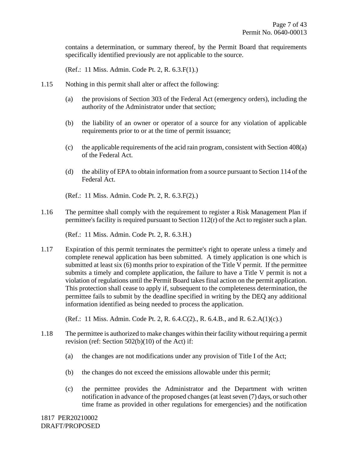contains a determination, or summary thereof, by the Permit Board that requirements specifically identified previously are not applicable to the source.

(Ref.: 11 Miss. Admin. Code Pt. 2, R. 6.3.F(1).)

- 1.15 Nothing in this permit shall alter or affect the following:
	- (a) the provisions of Section 303 of the Federal Act (emergency orders), including the authority of the Administrator under that section;
	- (b) the liability of an owner or operator of a source for any violation of applicable requirements prior to or at the time of permit issuance;
	- (c) the applicable requirements of the acid rain program, consistent with Section 408(a) of the Federal Act.
	- (d) the ability of EPA to obtain information from a source pursuant to Section 114 of the Federal Act.

(Ref.: 11 Miss. Admin. Code Pt. 2, R. 6.3.F(2).)

1.16 The permittee shall comply with the requirement to register a Risk Management Plan if permittee's facility is required pursuant to Section 112(r) of the Act to register such a plan.

(Ref.: 11 Miss. Admin. Code Pt. 2, R. 6.3.H.)

1.17 Expiration of this permit terminates the permittee's right to operate unless a timely and complete renewal application has been submitted. A timely application is one which is submitted at least six (6) months prior to expiration of the Title V permit. If the permittee submits a timely and complete application, the failure to have a Title V permit is not a violation of regulations until the Permit Board takes final action on the permit application. This protection shall cease to apply if, subsequent to the completeness determination, the permittee fails to submit by the deadline specified in writing by the DEQ any additional information identified as being needed to process the application.

(Ref.: 11 Miss. Admin. Code Pt. 2, R. 6.4.C(2)., R. 6.4.B., and R. 6.2.A(1)(c).)

- 1.18 The permittee is authorized to make changes within their facility without requiring a permit revision (ref: Section 502(b)(10) of the Act) if:
	- (a) the changes are not modifications under any provision of Title I of the Act;
	- (b) the changes do not exceed the emissions allowable under this permit;
	- (c) the permittee provides the Administrator and the Department with written notification in advance of the proposed changes (at least seven (7) days, or such other time frame as provided in other regulations for emergencies) and the notification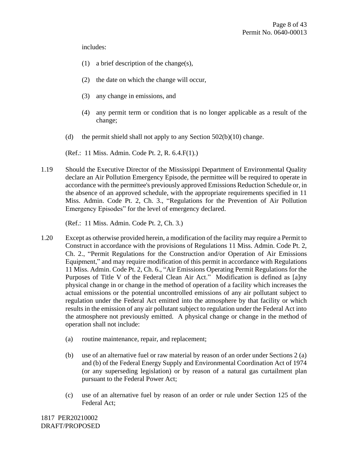includes:

- (1) a brief description of the change(s),
- (2) the date on which the change will occur,
- (3) any change in emissions, and
- (4) any permit term or condition that is no longer applicable as a result of the change;
- (d) the permit shield shall not apply to any Section  $502(b)(10)$  change.

(Ref.: 11 Miss. Admin. Code Pt. 2, R. 6.4.F(1).)

1.19 Should the Executive Director of the Mississippi Department of Environmental Quality declare an Air Pollution Emergency Episode, the permittee will be required to operate in accordance with the permittee's previously approved Emissions Reduction Schedule or, in the absence of an approved schedule, with the appropriate requirements specified in 11 Miss. Admin. Code Pt. 2, Ch. 3., "Regulations for the Prevention of Air Pollution Emergency Episodes" for the level of emergency declared.

(Ref.: 11 Miss. Admin. Code Pt. 2, Ch. 3.)

- 1.20 Except as otherwise provided herein, a modification of the facility may require a Permit to Construct in accordance with the provisions of Regulations 11 Miss. Admin. Code Pt. 2, Ch. 2., "Permit Regulations for the Construction and/or Operation of Air Emissions Equipment," and may require modification of this permit in accordance with Regulations 11 Miss. Admin. Code Pt. 2, Ch. 6., "Air Emissions Operating Permit Regulations for the Purposes of Title V of the Federal Clean Air Act." Modification is defined as [a]ny physical change in or change in the method of operation of a facility which increases the actual emissions or the potential uncontrolled emissions of any air pollutant subject to regulation under the Federal Act emitted into the atmosphere by that facility or which results in the emission of any air pollutant subject to regulation under the Federal Act into the atmosphere not previously emitted. A physical change or change in the method of operation shall not include:
	- (a) routine maintenance, repair, and replacement;
	- (b) use of an alternative fuel or raw material by reason of an order under Sections 2 (a) and (b) of the Federal Energy Supply and Environmental Coordination Act of 1974 (or any superseding legislation) or by reason of a natural gas curtailment plan pursuant to the Federal Power Act;
	- (c) use of an alternative fuel by reason of an order or rule under Section 125 of the Federal Act;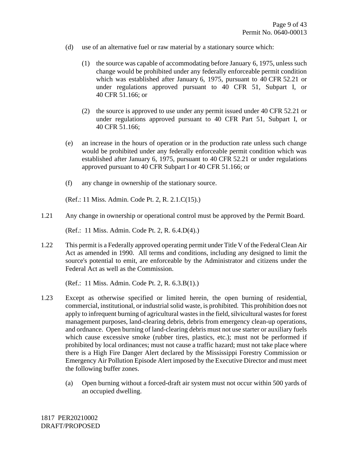- (d) use of an alternative fuel or raw material by a stationary source which:
	- (1) the source was capable of accommodating before January 6, 1975, unless such change would be prohibited under any federally enforceable permit condition which was established after January 6, 1975, pursuant to 40 CFR 52.21 or under regulations approved pursuant to 40 CFR 51, Subpart I, or 40 CFR 51.166; or
	- (2) the source is approved to use under any permit issued under 40 CFR 52.21 or under regulations approved pursuant to 40 CFR Part 51, Subpart I, or 40 CFR 51.166;
- (e) an increase in the hours of operation or in the production rate unless such change would be prohibited under any federally enforceable permit condition which was established after January 6, 1975, pursuant to 40 CFR 52.21 or under regulations approved pursuant to 40 CFR Subpart I or 40 CFR 51.166; or
- (f) any change in ownership of the stationary source.

(Ref.: 11 Miss. Admin. Code Pt. 2, R. 2.1.C(15).)

1.21 Any change in ownership or operational control must be approved by the Permit Board.

(Ref.: 11 Miss. Admin. Code Pt. 2, R. 6.4.D(4).)

1.22 This permit is a Federally approved operating permit under Title V of the Federal Clean Air Act as amended in 1990. All terms and conditions, including any designed to limit the source's potential to emit, are enforceable by the Administrator and citizens under the Federal Act as well as the Commission.

(Ref.: 11 Miss. Admin. Code Pt. 2, R. 6.3.B(1).)

- 1.23 Except as otherwise specified or limited herein, the open burning of residential, commercial, institutional, or industrial solid waste, is prohibited. This prohibition does not apply to infrequent burning of agricultural wastes in the field, silvicultural wastes for forest management purposes, land-clearing debris, debris from emergency clean-up operations, and ordnance. Open burning of land-clearing debris must not use starter or auxiliary fuels which cause excessive smoke (rubber tires, plastics, etc.); must not be performed if prohibited by local ordinances; must not cause a traffic hazard; must not take place where there is a High Fire Danger Alert declared by the Mississippi Forestry Commission or Emergency Air Pollution Episode Alert imposed by the Executive Director and must meet the following buffer zones.
	- (a) Open burning without a forced-draft air system must not occur within 500 yards of an occupied dwelling.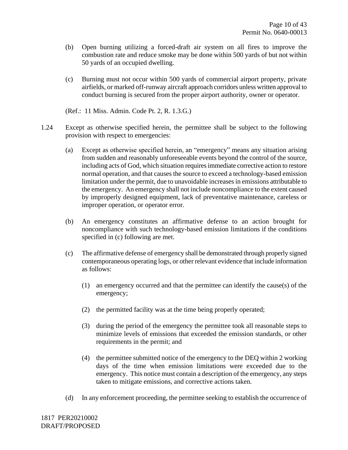- (b) Open burning utilizing a forced-draft air system on all fires to improve the combustion rate and reduce smoke may be done within 500 yards of but not within 50 yards of an occupied dwelling.
- (c) Burning must not occur within 500 yards of commercial airport property, private airfields, or marked off-runway aircraft approach corridors unless written approval to conduct burning is secured from the proper airport authority, owner or operator.
- (Ref.: 11 Miss. Admin. Code Pt. 2, R. 1.3.G.)
- 1.24 Except as otherwise specified herein, the permittee shall be subject to the following provision with respect to emergencies:
	- (a) Except as otherwise specified herein, an "emergency" means any situation arising from sudden and reasonably unforeseeable events beyond the control of the source, including acts of God, which situation requires immediate corrective action to restore normal operation, and that causes the source to exceed a technology-based emission limitation under the permit, due to unavoidable increases in emissions attributable to the emergency. An emergency shall not include noncompliance to the extent caused by improperly designed equipment, lack of preventative maintenance, careless or improper operation, or operator error.
	- (b) An emergency constitutes an affirmative defense to an action brought for noncompliance with such technology-based emission limitations if the conditions specified in (c) following are met.
	- (c) The affirmative defense of emergency shall be demonstrated through properly signed contemporaneous operating logs, or other relevant evidence that include information as follows:
		- (1) an emergency occurred and that the permittee can identify the cause(s) of the emergency;
		- (2) the permitted facility was at the time being properly operated;
		- (3) during the period of the emergency the permittee took all reasonable steps to minimize levels of emissions that exceeded the emission standards, or other requirements in the permit; and
		- (4) the permittee submitted notice of the emergency to the DEQ within 2 working days of the time when emission limitations were exceeded due to the emergency. This notice must contain a description of the emergency, any steps taken to mitigate emissions, and corrective actions taken.
	- (d) In any enforcement proceeding, the permittee seeking to establish the occurrence of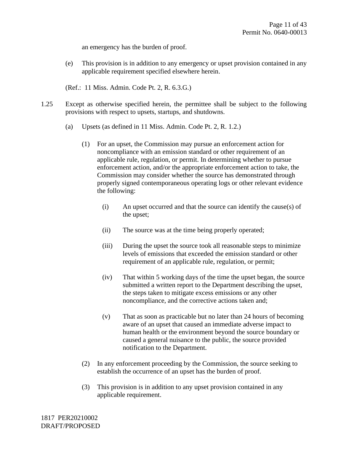an emergency has the burden of proof.

(e) This provision is in addition to any emergency or upset provision contained in any applicable requirement specified elsewhere herein.

(Ref.: 11 Miss. Admin. Code Pt. 2, R. 6.3.G.)

- 1.25 Except as otherwise specified herein, the permittee shall be subject to the following provisions with respect to upsets, startups, and shutdowns.
	- (a) Upsets (as defined in 11 Miss. Admin. Code Pt. 2, R. 1.2.)
		- (1) For an upset, the Commission may pursue an enforcement action for noncompliance with an emission standard or other requirement of an applicable rule, regulation, or permit. In determining whether to pursue enforcement action, and/or the appropriate enforcement action to take, the Commission may consider whether the source has demonstrated through properly signed contemporaneous operating logs or other relevant evidence the following:
			- (i) An upset occurred and that the source can identify the cause(s) of the upset;
			- (ii) The source was at the time being properly operated;
			- (iii) During the upset the source took all reasonable steps to minimize levels of emissions that exceeded the emission standard or other requirement of an applicable rule, regulation, or permit;
			- (iv) That within 5 working days of the time the upset began, the source submitted a written report to the Department describing the upset, the steps taken to mitigate excess emissions or any other noncompliance, and the corrective actions taken and;
			- (v) That as soon as practicable but no later than 24 hours of becoming aware of an upset that caused an immediate adverse impact to human health or the environment beyond the source boundary or caused a general nuisance to the public, the source provided notification to the Department.
		- (2) In any enforcement proceeding by the Commission, the source seeking to establish the occurrence of an upset has the burden of proof.
		- (3) This provision is in addition to any upset provision contained in any applicable requirement.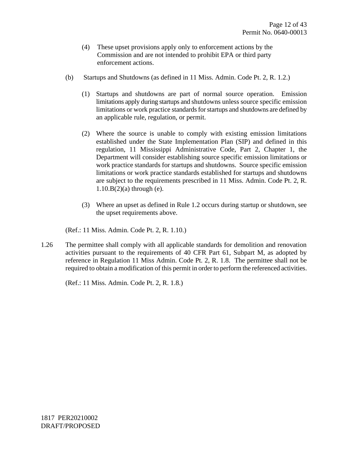- (4) These upset provisions apply only to enforcement actions by the Commission and are not intended to prohibit EPA or third party enforcement actions.
- (b) Startups and Shutdowns (as defined in 11 Miss. Admin. Code Pt. 2, R. 1.2.)
	- (1) Startups and shutdowns are part of normal source operation. Emission limitations apply during startups and shutdowns unless source specific emission limitations or work practice standards for startups and shutdowns are defined by an applicable rule, regulation, or permit.
	- (2) Where the source is unable to comply with existing emission limitations established under the State Implementation Plan (SIP) and defined in this regulation, 11 Mississippi Administrative Code, Part 2, Chapter 1, the Department will consider establishing source specific emission limitations or work practice standards for startups and shutdowns. Source specific emission limitations or work practice standards established for startups and shutdowns are subject to the requirements prescribed in 11 Miss. Admin. Code Pt. 2, R.  $1.10.B(2)(a)$  through (e).
	- (3) Where an upset as defined in Rule 1.2 occurs during startup or shutdown, see the upset requirements above.

(Ref.: 11 Miss. Admin. Code Pt. 2, R. 1.10.)

1.26 The permittee shall comply with all applicable standards for demolition and renovation activities pursuant to the requirements of 40 CFR Part 61, Subpart M, as adopted by reference in Regulation 11 Miss Admin. Code Pt. 2, R. 1.8. The permittee shall not be required to obtain a modification of this permit in order to perform the referenced activities.

(Ref.: 11 Miss. Admin. Code Pt. 2, R. 1.8.)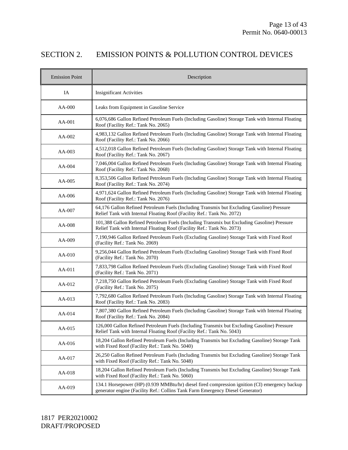## SECTION 2. EMISSION POINTS & POLLUTION CONTROL DEVICES

| <b>Emission Point</b> | Description                                                                                                                                                                      |  |  |
|-----------------------|----------------------------------------------------------------------------------------------------------------------------------------------------------------------------------|--|--|
| IA                    | <b>Insignificant Activities</b>                                                                                                                                                  |  |  |
| AA-000                | Leaks from Equipment in Gasoline Service                                                                                                                                         |  |  |
| AA-001                | 6,076,686 Gallon Refined Petroleum Fuels (Including Gasoline) Storage Tank with Internal Floating<br>Roof (Facility Ref.: Tank No. 2065)                                         |  |  |
| AA-002                | 4,983,132 Gallon Refined Petroleum Fuels (Including Gasoline) Storage Tank with Internal Floating<br>Roof (Facility Ref.: Tank No. 2066)                                         |  |  |
| AA-003                | 4,512,018 Gallon Refined Petroleum Fuels (Including Gasoline) Storage Tank with Internal Floating<br>Roof (Facility Ref.: Tank No. 2067)                                         |  |  |
| AA-004                | 7,046,004 Gallon Refined Petroleum Fuels (Including Gasoline) Storage Tank with Internal Floating<br>Roof (Facility Ref.: Tank No. 2068)                                         |  |  |
| $AA-005$              | 8,353,506 Gallon Refined Petroleum Fuels (Including Gasoline) Storage Tank with Internal Floating<br>Roof (Facility Ref.: Tank No. 2074)                                         |  |  |
| $AA-006$              | 4,971,624 Gallon Refined Petroleum Fuels (Including Gasoline) Storage Tank with Internal Floating<br>Roof (Facility Ref.: Tank No. 2076)                                         |  |  |
| AA-007                | 64,176 Gallon Refined Petroleum Fuels (Including Transmix but Excluding Gasoline) Pressure<br>Relief Tank with Internal Floating Roof (Facility Ref.: Tank No. 2072)             |  |  |
| AA-008                | 101,388 Gallon Refined Petroleum Fuels (Including Transmix but Excluding Gasoline) Pressure<br>Relief Tank with Internal Floating Roof (Facility Ref.: Tank No. 2073)            |  |  |
| AA-009                | 7,190,946 Gallon Refined Petroleum Fuels (Excluding Gasoline) Storage Tank with Fixed Roof<br>(Facility Ref.: Tank No. 2069)                                                     |  |  |
| AA-010                | 9,256,044 Gallon Refined Petroleum Fuels (Excluding Gasoline) Storage Tank with Fixed Roof<br>(Facility Ref.: Tank No. 2070)                                                     |  |  |
| AA-011                | 7,833,798 Gallon Refined Petroleum Fuels (Excluding Gasoline) Storage Tank with Fixed Roof<br>(Facility Ref.: Tank No. 2071)                                                     |  |  |
| AA-012                | 7,218,750 Gallon Refined Petroleum Fuels (Excluding Gasoline) Storage Tank with Fixed Roof<br>(Facility Ref.: Tank No. 2075)                                                     |  |  |
| AA-013                | 7,792,680 Gallon Refined Petroleum Fuels (Including Gasoline) Storage Tank with Internal Floating<br>Roof (Facility Ref.: Tank No. 2083)                                         |  |  |
| $AA-014$              | 7,807,380 Gallon Refined Petroleum Fuels (Including Gasoline) Storage Tank with Internal Floating<br>Roof (Facility Ref.: Tank No. 2084)                                         |  |  |
| AA-015                | 126,000 Gallon Refined Petroleum Fuels (Including Transmix but Excluding Gasoline) Pressure<br>Relief Tank with Internal Floating Roof (Facility Ref.: Tank No. 5043)            |  |  |
| AA-016                | 18,204 Gallon Refined Petroleum Fuels (Including Transmix but Excluding Gasoline) Storage Tank<br>with Fixed Roof (Facility Ref.: Tank No. 5040)                                 |  |  |
| AA-017                | 26,250 Gallon Refined Petroleum Fuels (Including Transmix but Excluding Gasoline) Storage Tank<br>with Fixed Roof (Facility Ref.: Tank No. 5048)                                 |  |  |
| AA-018                | 18,204 Gallon Refined Petroleum Fuels (Including Transmix but Excluding Gasoline) Storage Tank<br>with Fixed Roof (Facility Ref.: Tank No. 5060)                                 |  |  |
| AA-019                | 134.1 Horsepower (HP) (0.939 MMBtu/hr) diesel fired compression ignition (CI) emergency backup<br>generator engine (Facility Ref.: Collins Tank Farm Emergency Diesel Generator) |  |  |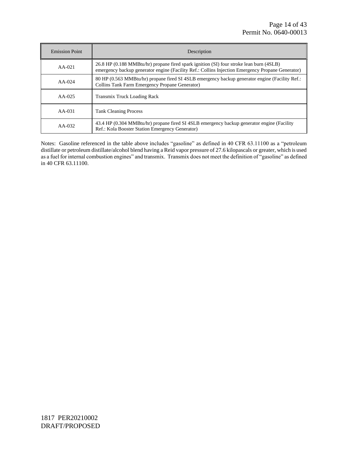| <b>Emission Point</b> | Description                                                                                                                                                                                 |
|-----------------------|---------------------------------------------------------------------------------------------------------------------------------------------------------------------------------------------|
| $AA-021$              | 26.8 HP (0.188 MMBtu/hr) propane fired spark ignition (SI) four stroke lean burn (4SLB)<br>emergency backup generator engine (Facility Ref.: Collins Injection Emergency Propane Generator) |
| $AA-024$              | 80 HP (0.563 MMBtu/hr) propane fired SI 4SLB emergency backup generator engine (Facility Ref.:<br>Collins Tank Farm Emergency Propane Generator)                                            |
| $AA-025$              | Transmix Truck Loading Rack                                                                                                                                                                 |
| $AA-031$              | <b>Tank Cleaning Process</b>                                                                                                                                                                |
| $AA-032$              | 43.4 HP (0.304 MMBtu/hr) propane fired SI 4SLB emergency backup generator engine (Facility<br>Ref.: Kola Booster Station Emergency Generator)                                               |

Notes: Gasoline referenced in the table above includes "gasoline" as defined in 40 CFR 63.11100 as a "petroleum distillate or petroleum distillate/alcohol blend having a Reid vapor pressure of 27.6 kilopascals or greater, which is used as a fuel for internal combustion engines" and transmix. Transmix does not meet the definition of "gasoline" as defined in 40 CFR 63.11100.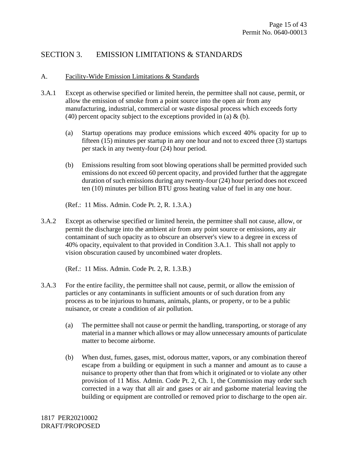## SECTION 3. EMISSION LIMITATIONS & STANDARDS

#### A. Facility-Wide Emission Limitations & Standards

- 3.A.1 Except as otherwise specified or limited herein, the permittee shall not cause, permit, or allow the emission of smoke from a point source into the open air from any manufacturing, industrial, commercial or waste disposal process which exceeds forty (40) percent opacity subject to the exceptions provided in (a)  $\&$  (b).
	- (a) Startup operations may produce emissions which exceed 40% opacity for up to fifteen (15) minutes per startup in any one hour and not to exceed three (3) startups per stack in any twenty-four (24) hour period.
	- (b) Emissions resulting from soot blowing operations shall be permitted provided such emissions do not exceed 60 percent opacity, and provided further that the aggregate duration of such emissions during any twenty-four (24) hour period does not exceed ten (10) minutes per billion BTU gross heating value of fuel in any one hour.
	- (Ref.: 11 Miss. Admin. Code Pt. 2, R. 1.3.A.)
- 3.A.2 Except as otherwise specified or limited herein, the permittee shall not cause, allow, or permit the discharge into the ambient air from any point source or emissions, any air contaminant of such opacity as to obscure an observer's view to a degree in excess of 40% opacity, equivalent to that provided in Condition 3.A.1. This shall not apply to vision obscuration caused by uncombined water droplets.
	- (Ref.: 11 Miss. Admin. Code Pt. 2, R. 1.3.B.)
- 3.A.3 For the entire facility, the permittee shall not cause, permit, or allow the emission of particles or any contaminants in sufficient amounts or of such duration from any process as to be injurious to humans, animals, plants, or property, or to be a public nuisance, or create a condition of air pollution.
	- (a) The permittee shall not cause or permit the handling, transporting, or storage of any material in a manner which allows or may allow unnecessary amounts of particulate matter to become airborne.
	- (b) When dust, fumes, gases, mist, odorous matter, vapors, or any combination thereof escape from a building or equipment in such a manner and amount as to cause a nuisance to property other than that from which it originated or to violate any other provision of 11 Miss. Admin. Code Pt. 2, Ch. 1, the Commission may order such corrected in a way that all air and gases or air and gasborne material leaving the building or equipment are controlled or removed prior to discharge to the open air.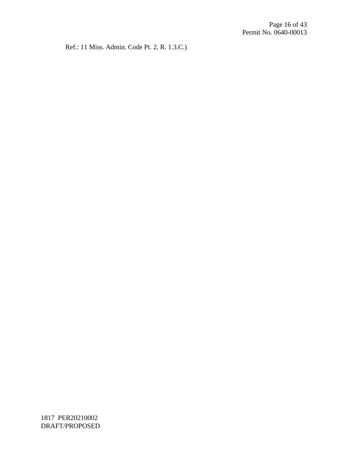Ref.: 11 Miss. Admin. Code Pt. 2, R. 1.3.C.)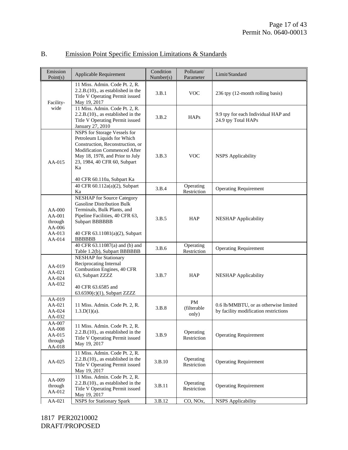| Emission<br>Point(s)                                      | Applicable Requirement                                                                                                                                                                                                                 | Condition<br>Number(s) | Pollutant/<br>Parameter    | Limit/Standard                                                                 |
|-----------------------------------------------------------|----------------------------------------------------------------------------------------------------------------------------------------------------------------------------------------------------------------------------------------|------------------------|----------------------------|--------------------------------------------------------------------------------|
| Facility-<br>wide                                         | 11 Miss. Admin. Code Pt. 2, R.<br>$2.2.B.(10)$ ., as established in the<br>Title V Operating Permit issued<br>May 19, 2017                                                                                                             | 3.B.1                  | <b>VOC</b>                 | 236 tpy (12-month rolling basis)                                               |
|                                                           | 11 Miss. Admin. Code Pt. 2, R.<br>$2.2.B.(10)$ ., as established in the<br>Title V Operating Permit issued<br>January 27, 2010                                                                                                         | 3.B.2                  | <b>HAPs</b>                | 9.9 tpy for each Individual HAP and<br>24.9 tpy Total HAPs                     |
| $AA-015$                                                  | NSPS for Storage Vessels for<br>Petroleum Liquids for Which<br>Construction, Reconstruction, or<br>Modification Commenced After<br>May 18, 1978, and Prior to July<br>23, 1984, 40 CFR 60, Subpart<br>Ka<br>40 CFR 60.110a, Subpart Ka | 3.B.3                  | <b>VOC</b>                 | <b>NSPS</b> Applicability                                                      |
|                                                           | 40 CFR 60.112a(a)(2), Subpart<br>Ka                                                                                                                                                                                                    | 3.B.4                  | Operating<br>Restriction   | <b>Operating Requirement</b>                                                   |
| AA-000<br>AA-001<br>through<br>AA-006<br>AA-013<br>AA-014 | <b>NESHAP</b> for Source Category<br><b>Gasoline Distribution Bulk</b><br>Terminals, Bulk Plants, and<br>Pipeline Facilities, 40 CFR 63,<br><b>Subpart BBBBBB</b><br>40 CFR 63.11081(a)(2), Subpart<br><b>BBBBBB</b>                   | 3.B.5                  | <b>HAP</b>                 | <b>NESHAP</b> Applicability                                                    |
|                                                           | 40 CFR 63.11087(a) and (b) and<br>Table 1.2(b), Subpart BBBBBB                                                                                                                                                                         | 3.B.6                  | Operating<br>Restriction   | <b>Operating Requirement</b>                                                   |
| $AA-019$<br>AA-021<br>AA-024<br>AA-032                    | <b>NESHAP</b> for Stationary<br>Reciprocating Internal<br>Combustion Engines, 40 CFR<br>63, Subpart ZZZZ<br>40 CFR 63.6585 and<br>$63.6590(c)(1)$ , Subpart ZZZZ                                                                       | 3.B.7                  | <b>HAP</b>                 | <b>NESHAP</b> Applicability                                                    |
| AA-019<br>AA-021<br>AA-024<br>AA-032                      | 11 Miss. Admin. Code Pt. 2, R.<br>$1.3.D(1)(a)$ .                                                                                                                                                                                      | 3.B.8                  | PM<br>(filterable<br>only) | 0.6 lb/MMBTU, or as otherwise limited<br>by facility modification restrictions |
| AA-007<br>AA-008<br>AA-015<br>through<br>AA-018           | 11 Miss. Admin. Code Pt. 2, R.<br>$2.2.B.(10)$ ., as established in the<br>Title V Operating Permit issued<br>May 19, 2017                                                                                                             | 3.B.9                  | Operating<br>Restriction   | <b>Operating Requirement</b>                                                   |
| AA-025                                                    | 11 Miss. Admin. Code Pt. 2, R.<br>$2.2.B.(10)$ ., as established in the<br>Title V Operating Permit issued<br>May 19, 2017                                                                                                             | 3.B.10                 | Operating<br>Restriction   | <b>Operating Requirement</b>                                                   |
| AA-009<br>through<br>AA-012                               | 11 Miss. Admin. Code Pt. 2, R.<br>$2.2.B.(10)$ ., as established in the<br>Title V Operating Permit issued<br>May 19, 2017                                                                                                             | 3.B.11                 | Operating<br>Restriction   | <b>Operating Requirement</b>                                                   |
| AA-021                                                    | <b>NSPS</b> for Stationary Spark                                                                                                                                                                                                       | 3.B.12                 | CO, NO <sub>x</sub> ,      | <b>NSPS</b> Applicability                                                      |

## B. Emission Point Specific Emission Limitations & Standards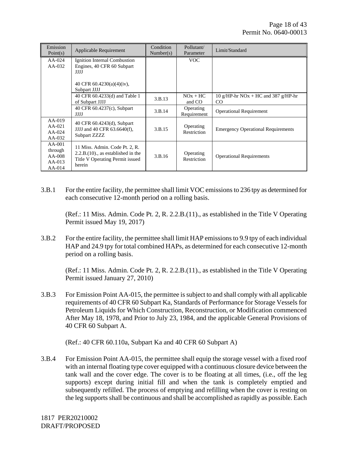| Emission<br>Point(s)                                  | Applicable Requirement                                                                                              | Condition<br>Number(s) | Pollutant/<br>Parameter  | Limit/Standard                              |
|-------------------------------------------------------|---------------------------------------------------------------------------------------------------------------------|------------------------|--------------------------|---------------------------------------------|
| $AA-024$<br>$AA-032$                                  | Ignition Internal Combustion<br>Engines, 40 CFR 60 Subpart<br>JJJJ<br>40 CFR 60.4230(a)(4)(iv),<br>Subpart JJJJ     |                        | <b>VOC</b>               |                                             |
|                                                       | 40 CFR 60.4233(d) and Table 1<br>of Subpart JJJJ                                                                    | 3.B.13                 | $NOx + HC$<br>and CO     | 10 g/HP-hr $NOx + HC$ and 387 g/HP-hr<br>CO |
|                                                       | 40 CFR 60.4237(c), Subpart<br><b>JJJJ</b>                                                                           | 3.B.14                 | Operating<br>Requirement | <b>Operational Requirement</b>              |
| $AA-019$<br>$AA-021$<br>$AA-024$<br>$AA-032$          | 40 CFR 60.4243(d), Subpart<br>JJJJ and 40 CFR 63.6640(f),<br>Subpart ZZZZ                                           | 3.B.15                 | Operating<br>Restriction | <b>Emergency Operational Requirements</b>   |
| $AA-001$<br>through<br>$AA-008$<br>$AA-013$<br>AA-014 | 11 Miss. Admin. Code Pt. 2, R.<br>$2.2.B.(10)$ , as established in the<br>Title V Operating Permit issued<br>herein | 3.B.16                 | Operating<br>Restriction | <b>Operational Requirements</b>             |

3.B.1 For the entire facility, the permittee shall limit VOC emissions to 236 tpy as determined for each consecutive 12-month period on a rolling basis.

(Ref.: 11 Miss. Admin. Code Pt. 2, R. 2.2.B.(11)., as established in the Title V Operating Permit issued May 19, 2017)

3.B.2 For the entire facility, the permittee shall limit HAP emissions to 9.9 tpy of each individual HAP and 24.9 tpy for total combined HAPs, as determined for each consecutive 12-month period on a rolling basis.

(Ref.: 11 Miss. Admin. Code Pt. 2, R. 2.2.B.(11)., as established in the Title V Operating Permit issued January 27, 2010)

3.B.3 For Emission Point AA-015, the permittee is subject to and shall comply with all applicable requirements of 40 CFR 60 Subpart Ka, Standards of Performance for Storage Vessels for Petroleum Liquids for Which Construction, Reconstruction, or Modification commenced After May 18, 1978, and Prior to July 23, 1984, and the applicable General Provisions of 40 CFR 60 Subpart A.

(Ref.: 40 CFR 60.110a, Subpart Ka and 40 CFR 60 Subpart A)

3.B.4 For Emission Point AA-015, the permittee shall equip the storage vessel with a fixed roof with an internal floating type cover equipped with a continuous closure device between the tank wall and the cover edge. The cover is to be floating at all times, (i.e., off the leg supports) except during initial fill and when the tank is completely emptied and subsequently refilled. The process of emptying and refilling when the cover is resting on the leg supports shall be continuous and shall be accomplished as rapidly as possible. Each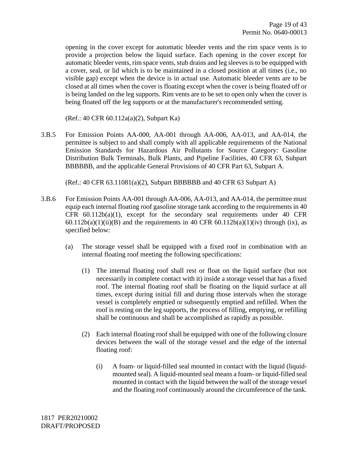opening in the cover except for automatic bleeder vents and the rim space vents is to provide a projection below the liquid surface. Each opening in the cover except for automatic bleeder vents, rim space vents, stub drains and leg sleeves is to be equipped with a cover, seal, or lid which is to be maintained in a closed position at all times (i.e., no visible gap) except when the device is in actual use. Automatic bleeder vents are to be closed at all times when the cover is floating except when the cover is being floated off or is being landed on the leg supports. Rim vents are to be set to open only when the cover is being floated off the leg supports or at the manufacturer's recommended setting.

(Ref.: 40 CFR 60.112a(a)(2), Subpart Ka)

3.B.5 For Emission Points AA-000, AA-001 through AA-006, AA-013, and AA-014, the permittee is subject to and shall comply with all applicable requirements of the National Emission Standards for Hazardous Air Pollutants for Source Category: Gasoline Distribution Bulk Terminals, Bulk Plants, and Pipeline Facilities, 40 CFR 63, Subpart BBBBBB, and the applicable General Provisions of 40 CFR Part 63, Subpart A.

(Ref.: 40 CFR 63.11081(a)(2), Subpart BBBBBB and 40 CFR 63 Subpart A)

- 3.B.6 For Emission Points AA-001 through AA-006, AA-013, and AA-014, the permittee must equip each internal floating roof gasoline storage tank according to the requirements in 40 CFR  $60.112b(a)(1)$ , except for the secondary seal requirements under 40 CFR  $60.112b(a)(1)(ii)(B)$  and the requirements in 40 CFR  $60.112b(a)(1)(iv)$  through (ix), as specified below:
	- (a) The storage vessel shall be equipped with a fixed roof in combination with an internal floating roof meeting the following specifications:
		- (1) The internal floating roof shall rest or float on the liquid surface (but not necessarily in complete contact with it) inside a storage vessel that has a fixed roof. The internal floating roof shall be floating on the liquid surface at all times, except during initial fill and during those intervals when the storage vessel is completely emptied or subsequently emptied and refilled. When the roof is resting on the leg supports, the process of filling, emptying, or refilling shall be continuous and shall be accomplished as rapidly as possible.
		- (2) Each internal floating roof shall be equipped with one of the following closure devices between the wall of the storage vessel and the edge of the internal floating roof:
			- (i) A foam- or liquid-filled seal mounted in contact with the liquid (liquidmounted seal). A liquid-mounted seal means a foam- or liquid-filled seal mounted in contact with the liquid between the wall of the storage vessel and the floating roof continuously around the circumference of the tank.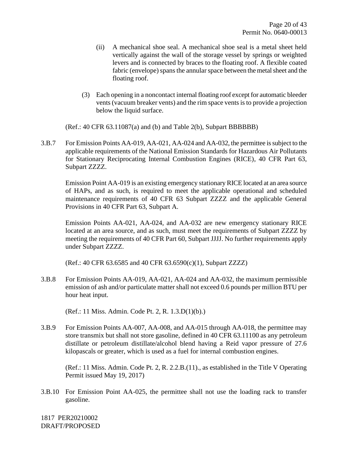- (ii) A mechanical shoe seal. A mechanical shoe seal is a metal sheet held vertically against the wall of the storage vessel by springs or weighted levers and is connected by braces to the floating roof. A flexible coated fabric (envelope) spans the annular space between the metal sheet and the floating roof.
- (3) Each opening in a noncontact internal floating roof except for automatic bleeder vents (vacuum breaker vents) and the rim space vents is to provide a projection below the liquid surface.

(Ref.: 40 CFR 63.11087(a) and (b) and Table 2(b), Subpart BBBBBB)

3.B.7 For Emission Points AA-019, AA-021, AA-024 and AA-032, the permittee is subject to the applicable requirements of the National Emission Standards for Hazardous Air Pollutants for Stationary Reciprocating Internal Combustion Engines (RICE), 40 CFR Part 63, Subpart ZZZZ.

Emission Point AA-019 is an existing emergency stationary RICE located at an area source of HAPs, and as such, is required to meet the applicable operational and scheduled maintenance requirements of 40 CFR 63 Subpart ZZZZ and the applicable General Provisions in 40 CFR Part 63, Subpart A.

Emission Points AA-021, AA-024, and AA-032 are new emergency stationary RICE located at an area source, and as such, must meet the requirements of Subpart ZZZZ by meeting the requirements of 40 CFR Part 60, Subpart JJJJ. No further requirements apply under Subpart ZZZZ.

(Ref.: 40 CFR 63.6585 and 40 CFR 63.6590(c)(1), Subpart ZZZZ)

3.B.8 For Emission Points AA-019, AA-021, AA-024 and AA-032, the maximum permissible emission of ash and/or particulate matter shall not exceed 0.6 pounds per million BTU per hour heat input.

(Ref.: 11 Miss. Admin. Code Pt. 2, R. 1.3.D(1)(b).)

3.B.9 For Emission Points AA-007, AA-008, and AA-015 through AA-018, the permittee may store transmix but shall not store gasoline, defined in 40 CFR 63.11100 as any petroleum distillate or petroleum distillate/alcohol blend having a Reid vapor pressure of 27.6 kilopascals or greater, which is used as a fuel for internal combustion engines.

(Ref.: 11 Miss. Admin. Code Pt. 2, R. 2.2.B.(11)., as established in the Title V Operating Permit issued May 19, 2017)

3.B.10 For Emission Point AA-025, the permittee shall not use the loading rack to transfer gasoline.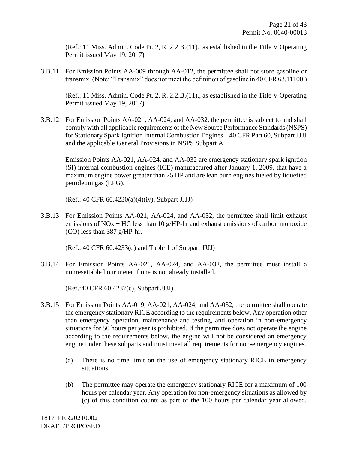(Ref.: 11 Miss. Admin. Code Pt. 2, R. 2.2.B.(11)., as established in the Title V Operating Permit issued May 19, 2017)

3.B.11 For Emission Points AA-009 through AA-012, the permittee shall not store gasoline or transmix. (Note: "Transmix" does not meet the definition of gasoline in 40 CFR 63.11100.)

(Ref.: 11 Miss. Admin. Code Pt. 2, R. 2.2.B.(11)., as established in the Title V Operating Permit issued May 19, 2017)

3.B.12 For Emission Points AA-021, AA-024, and AA-032, the permittee is subject to and shall comply with all applicable requirements of the New Source Performance Standards (NSPS) for Stationary Spark Ignition Internal Combustion Engines – 40 CFR Part 60, Subpart JJJJ and the applicable General Provisions in NSPS Subpart A.

Emission Points AA-021, AA-024, and AA-032 are emergency stationary spark ignition (SI) internal combustion engines (ICE) manufactured after January 1, 2009, that have a maximum engine power greater than 25 HP and are lean burn engines fueled by liquefied petroleum gas (LPG).

(Ref.: 40 CFR 60.4230(a)(4)(iv), Subpart JJJJ)

3.B.13 For Emission Points AA-021, AA-024, and AA-032, the permittee shall limit exhaust emissions of  $NOx + HC$  less than 10 g/HP-hr and exhaust emissions of carbon monoxide (CO) less than 387 g/HP-hr.

(Ref.: 40 CFR 60.4233(d) and Table 1 of Subpart JJJJ)

3.B.14 For Emission Points AA-021, AA-024, and AA-032, the permittee must install a nonresettable hour meter if one is not already installed.

(Ref.:40 CFR 60.4237(c), Subpart JJJJ)

- 3.B.15 For Emission Points AA-019, AA-021, AA-024, and AA-032, the permittee shall operate the emergency stationary RICE according to the requirements below. Any operation other than emergency operation, maintenance and testing, and operation in non-emergency situations for 50 hours per year is prohibited. If the permittee does not operate the engine according to the requirements below, the engine will not be considered an emergency engine under these subparts and must meet all requirements for non-emergency engines.
	- (a) There is no time limit on the use of emergency stationary RICE in emergency situations.
	- (b) The permittee may operate the emergency stationary RICE for a maximum of 100 hours per calendar year. Any operation for non-emergency situations as allowed by (c) of this condition counts as part of the 100 hours per calendar year allowed.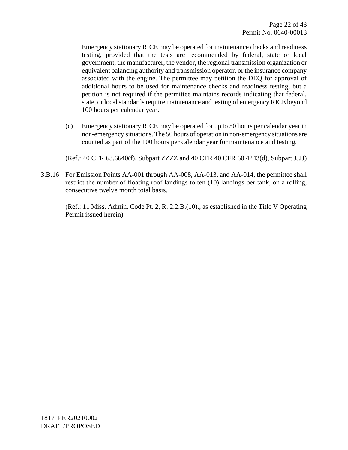Emergency stationary RICE may be operated for maintenance checks and readiness testing, provided that the tests are recommended by federal, state or local government, the manufacturer, the vendor, the regional transmission organization or equivalent balancing authority and transmission operator, or the insurance company associated with the engine. The permittee may petition the DEQ for approval of additional hours to be used for maintenance checks and readiness testing, but a petition is not required if the permittee maintains records indicating that federal, state, or local standards require maintenance and testing of emergency RICE beyond 100 hours per calendar year.

(c) Emergency stationary RICE may be operated for up to 50 hours per calendar year in non-emergency situations. The 50 hours of operation in non-emergency situations are counted as part of the 100 hours per calendar year for maintenance and testing.

(Ref.: 40 CFR 63.6640(f), Subpart ZZZZ and 40 CFR 40 CFR 60.4243(d), Subpart JJJJ)

3.B.16 For Emission Points AA-001 through AA-008, AA-013, and AA-014, the permittee shall restrict the number of floating roof landings to ten (10) landings per tank, on a rolling, consecutive twelve month total basis.

(Ref.: 11 Miss. Admin. Code Pt. 2, R. 2.2.B.(10)., as established in the Title V Operating Permit issued herein)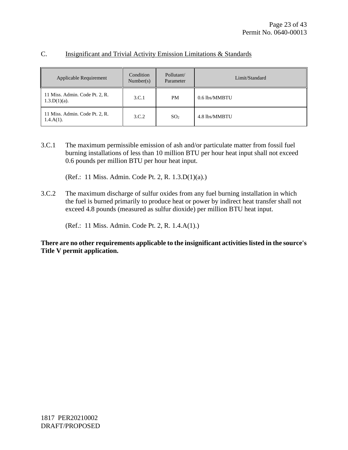#### C. Insignificant and Trivial Activity Emission Limitations & Standards

| Applicable Requirement                            | Condition<br>Number(s) | Pollutant/<br>Parameter | Limit/Standard |
|---------------------------------------------------|------------------------|-------------------------|----------------|
| 11 Miss. Admin. Code Pt. 2, R.<br>$1.3.D(1)(a)$ . | 3.C.1                  | <b>PM</b>               | 0.6 lbs/MMBTU  |
| 11 Miss. Admin. Code Pt. 2, R.<br>$1.4.A(1)$ .    | 3.C.2                  | SO <sub>2</sub>         | 4.8 lbs/MMBTU  |

3.C.1 The maximum permissible emission of ash and/or particulate matter from fossil fuel burning installations of less than 10 million BTU per hour heat input shall not exceed 0.6 pounds per million BTU per hour heat input.

(Ref.: 11 Miss. Admin. Code Pt. 2, R. 1.3.D(1)(a).)

3.C.2 The maximum discharge of sulfur oxides from any fuel burning installation in which the fuel is burned primarily to produce heat or power by indirect heat transfer shall not exceed 4.8 pounds (measured as sulfur dioxide) per million BTU heat input.

(Ref.: 11 Miss. Admin. Code Pt. 2, R. 1.4.A(1).)

**There are no other requirements applicable to the insignificant activities listed in the source's Title V permit application.**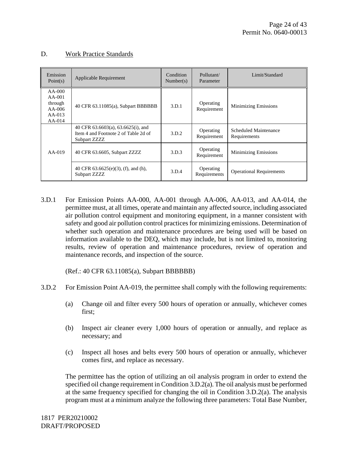#### D. Work Practice Standards

| Emission<br>Point(s)                                                | Applicable Requirement                                                                           | Condition<br>Number(s) | Pollutant/<br>Parameter   | Limit/Standard                        |
|---------------------------------------------------------------------|--------------------------------------------------------------------------------------------------|------------------------|---------------------------|---------------------------------------|
| $AA-000$<br>$AA-001$<br>through<br>$AA-006$<br>$AA-013$<br>$AA-014$ | 40 CFR 63.11085(a), Subpart BBBBBB                                                               | 3.D.1                  | Operating<br>Requirement  | <b>Minimizing Emissions</b>           |
|                                                                     | 40 CFR $63.6603(a)$ , $63.6625(i)$ , and<br>Item 4 and Footnote 2 of Table 2d of<br>Subpart ZZZZ | 3.D.2                  | Operating<br>Requirement  | Scheduled Maintenance<br>Requirements |
| $AA-019$                                                            | 40 CFR 63.6605, Subpart ZZZZ                                                                     | 3.D.3                  | Operating<br>Requirement  | <b>Minimizing Emissions</b>           |
|                                                                     | 40 CFR $63.6625(e)(3)$ , (f), and (h),<br>Subpart ZZZZ                                           | 3.D.4                  | Operating<br>Requirements | <b>Operational Requirements</b>       |

3.D.1 For Emission Points AA-000, AA-001 through AA-006, AA-013, and AA-014, the permittee must, at all times, operate and maintain any affected source, including associated air pollution control equipment and monitoring equipment, in a manner consistent with safety and good air pollution control practices for minimizing emissions. Determination of whether such operation and maintenance procedures are being used will be based on information available to the DEQ, which may include, but is not limited to, monitoring results, review of operation and maintenance procedures, review of operation and maintenance records, and inspection of the source.

(Ref.: 40 CFR 63.11085(a), Subpart BBBBBB)

- 3.D.2 For Emission Point AA-019, the permittee shall comply with the following requirements:
	- (a) Change oil and filter every 500 hours of operation or annually, whichever comes first;
	- (b) Inspect air cleaner every 1,000 hours of operation or annually, and replace as necessary; and
	- (c) Inspect all hoses and belts every 500 hours of operation or annually, whichever comes first, and replace as necessary.

The permittee has the option of utilizing an oil analysis program in order to extend the specified oil change requirement in Condition 3.D.2(a). The oil analysis must be performed at the same frequency specified for changing the oil in Condition 3.D.2(a). The analysis program must at a minimum analyze the following three parameters: Total Base Number,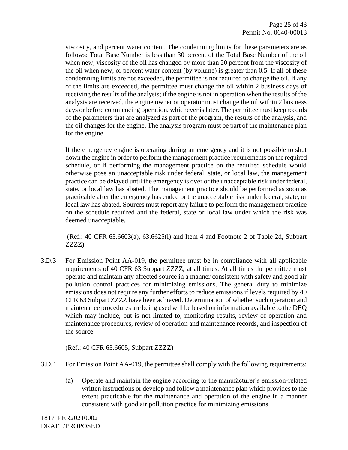viscosity, and percent water content. The condemning limits for these parameters are as follows: Total Base Number is less than 30 percent of the Total Base Number of the oil when new; viscosity of the oil has changed by more than 20 percent from the viscosity of the oil when new; or percent water content (by volume) is greater than 0.5. If all of these condemning limits are not exceeded, the permittee is not required to change the oil. If any of the limits are exceeded, the permittee must change the oil within 2 business days of receiving the results of the analysis; if the engine is not in operation when the results of the analysis are received, the engine owner or operator must change the oil within 2 business days or before commencing operation, whichever is later. The permittee must keep records of the parameters that are analyzed as part of the program, the results of the analysis, and the oil changes for the engine. The analysis program must be part of the maintenance plan for the engine.

If the emergency engine is operating during an emergency and it is not possible to shut down the engine in order to perform the management practice requirements on the required schedule, or if performing the management practice on the required schedule would otherwise pose an unacceptable risk under federal, state, or local law, the management practice can be delayed until the emergency is over or the unacceptable risk under federal, state, or local law has abated. The management practice should be performed as soon as practicable after the emergency has ended or the unacceptable risk under federal, state, or local law has abated. Sources must report any failure to perform the management practice on the schedule required and the federal, state or local law under which the risk was deemed unacceptable.

(Ref.: 40 CFR 63.6603(a), 63.6625(i) and Item 4 and Footnote 2 of Table 2d, Subpart ZZZZ)

3.D.3 For Emission Point AA-019, the permittee must be in compliance with all applicable requirements of 40 CFR 63 Subpart ZZZZ, at all times. At all times the permittee must operate and maintain any affected source in a manner consistent with safety and good air pollution control practices for minimizing emissions. The general duty to minimize emissions does not require any further efforts to reduce emissions if levels required by 40 CFR 63 Subpart ZZZZ have been achieved. Determination of whether such operation and maintenance procedures are being used will be based on information available to the DEQ which may include, but is not limited to, monitoring results, review of operation and maintenance procedures, review of operation and maintenance records, and inspection of the source.

(Ref.: 40 CFR 63.6605, Subpart ZZZZ)

- 3.D.4 For Emission Point AA-019, the permittee shall comply with the following requirements:
	- (a) Operate and maintain the engine according to the manufacturer's emission-related written instructions or develop and follow a maintenance plan which provides to the extent practicable for the maintenance and operation of the engine in a manner consistent with good air pollution practice for minimizing emissions.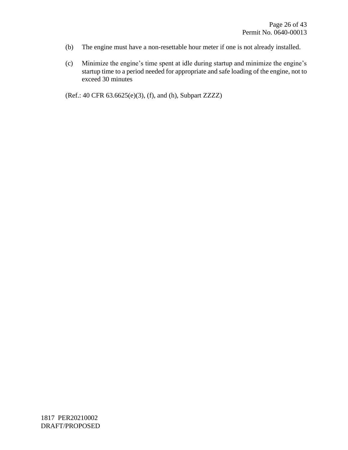- (b) The engine must have a non-resettable hour meter if one is not already installed.
- (c) Minimize the engine's time spent at idle during startup and minimize the engine's startup time to a period needed for appropriate and safe loading of the engine, not to exceed 30 minutes

(Ref.: 40 CFR 63.6625(e)(3), (f), and (h), Subpart ZZZZ)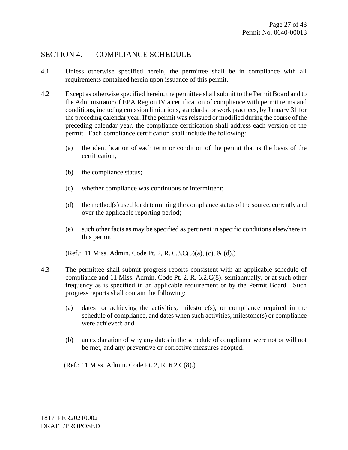### SECTION 4. COMPLIANCE SCHEDULE

- 4.1 Unless otherwise specified herein, the permittee shall be in compliance with all requirements contained herein upon issuance of this permit.
- 4.2 Except as otherwise specified herein, the permittee shall submit to the Permit Board and to the Administrator of EPA Region IV a certification of compliance with permit terms and conditions, including emission limitations, standards, or work practices, by January 31 for the preceding calendar year. If the permit was reissued or modified during the course of the preceding calendar year, the compliance certification shall address each version of the permit. Each compliance certification shall include the following:
	- (a) the identification of each term or condition of the permit that is the basis of the certification;
	- (b) the compliance status;
	- (c) whether compliance was continuous or intermittent;
	- (d) the method(s) used for determining the compliance status of the source, currently and over the applicable reporting period;
	- (e) such other facts as may be specified as pertinent in specific conditions elsewhere in this permit.

(Ref.: 11 Miss. Admin. Code Pt. 2, R. 6.3.C(5)(a), (c), & (d).)

- 4.3 The permittee shall submit progress reports consistent with an applicable schedule of compliance and 11 Miss. Admin. Code Pt. 2, R. 6.2.C(8). semiannually, or at such other frequency as is specified in an applicable requirement or by the Permit Board. Such progress reports shall contain the following:
	- (a) dates for achieving the activities, milestone(s), or compliance required in the schedule of compliance, and dates when such activities, milestone(s) or compliance were achieved; and
	- (b) an explanation of why any dates in the schedule of compliance were not or will not be met, and any preventive or corrective measures adopted.

(Ref.: 11 Miss. Admin. Code Pt. 2, R. 6.2.C(8).)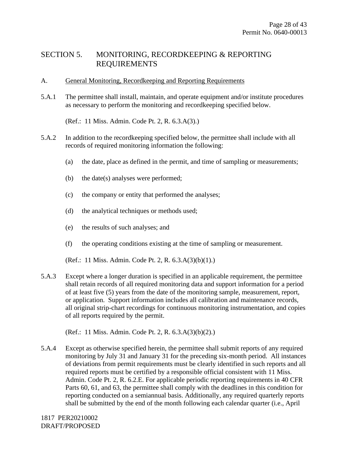### SECTION 5. MONITORING, RECORDKEEPING & REPORTING REQUIREMENTS

- A. General Monitoring, Recordkeeping and Reporting Requirements
- 5.A.1 The permittee shall install, maintain, and operate equipment and/or institute procedures as necessary to perform the monitoring and recordkeeping specified below.

(Ref.: 11 Miss. Admin. Code Pt. 2, R. 6.3.A(3).)

- 5.A.2 In addition to the recordkeeping specified below, the permittee shall include with all records of required monitoring information the following:
	- (a) the date, place as defined in the permit, and time of sampling or measurements;
	- (b) the date(s) analyses were performed;
	- (c) the company or entity that performed the analyses;
	- (d) the analytical techniques or methods used;
	- (e) the results of such analyses; and
	- (f) the operating conditions existing at the time of sampling or measurement.

(Ref.: 11 Miss. Admin. Code Pt. 2, R. 6.3.A(3)(b)(1).)

5.A.3 Except where a longer duration is specified in an applicable requirement, the permittee shall retain records of all required monitoring data and support information for a period of at least five (5) years from the date of the monitoring sample, measurement, report, or application. Support information includes all calibration and maintenance records, all original strip-chart recordings for continuous monitoring instrumentation, and copies of all reports required by the permit.

(Ref.: 11 Miss. Admin. Code Pt. 2, R. 6.3.A(3)(b)(2).)

5.A.4 Except as otherwise specified herein, the permittee shall submit reports of any required monitoring by July 31 and January 31 for the preceding six-month period. All instances of deviations from permit requirements must be clearly identified in such reports and all required reports must be certified by a responsible official consistent with 11 Miss. Admin. Code Pt. 2, R. 6.2.E. For applicable periodic reporting requirements in 40 CFR Parts 60, 61, and 63, the permittee shall comply with the deadlines in this condition for reporting conducted on a semiannual basis. Additionally, any required quarterly reports shall be submitted by the end of the month following each calendar quarter (i.e., April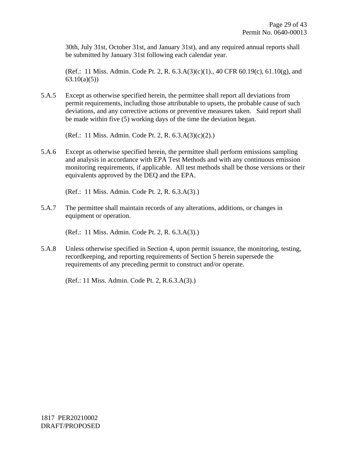30th, July 31st, October 31st, and January 31st), and any required annual reports shall be submitted by January 31st following each calendar year.

(Ref.: 11 Miss. Admin. Code Pt. 2, R. 6.3.A(3)(c)(1)., 40 CFR 60.19(c), 61.10(g), and 63.10(a)(5))

5.A.5 Except as otherwise specified herein, the permittee shall report all deviations from permit requirements, including those attributable to upsets, the probable cause of such deviations, and any corrective actions or preventive measures taken. Said report shall be made within five (5) working days of the time the deviation began.

(Ref.: 11 Miss. Admin. Code Pt. 2, R. 6.3.A(3)(c)(2).)

5.A.6 Except as otherwise specified herein, the permittee shall perform emissions sampling and analysis in accordance with EPA Test Methods and with any continuous emission monitoring requirements, if applicable. All test methods shall be those versions or their equivalents approved by the DEQ and the EPA.

(Ref.: 11 Miss. Admin. Code Pt. 2, R. 6.3.A(3).)

5.A.7 The permittee shall maintain records of any alterations, additions, or changes in equipment or operation.

(Ref.: 11 Miss. Admin. Code Pt. 2, R. 6.3.A(3).)

5.A.8 Unless otherwise specified in Section 4, upon permit issuance, the monitoring, testing, recordkeeping, and reporting requirements of Section 5 herein supersede the requirements of any preceding permit to construct and/or operate.

(Ref.: 11 Miss. Admin. Code Pt. 2, R.6.3.A(3).)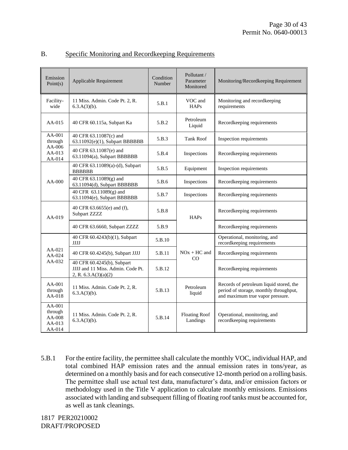| Emission<br>Point(s)                            | Applicable Requirement                                                                    | Condition<br>Number | Pollutant /<br>Parameter<br>Monitored | Monitoring/Recordkeeping Requirement                                                                                  |
|-------------------------------------------------|-------------------------------------------------------------------------------------------|---------------------|---------------------------------------|-----------------------------------------------------------------------------------------------------------------------|
| Facility-<br>wide                               | 11 Miss. Admin. Code Pt. 2, R.<br>$6.3.A(3)(b)$ .                                         | 5.B.1               | VOC and<br><b>HAPs</b>                | Monitoring and recordkeeping<br>requirements                                                                          |
| AA-015                                          | 40 CFR 60.115a, Subpart Ka                                                                | 5.B.2               | Petroleum<br>Liquid                   | Recordkeeping requirements                                                                                            |
| AA-001<br>through                               | 40 CFR 63.11087(c) and<br>63.11092(e)(1), Subpart BBBBBB                                  | 5.B.3               | <b>Tank Roof</b>                      | Inspection requirements                                                                                               |
| AA-006<br>$AA-013$<br>AA-014                    | 40 CFR 63.11087(e) and<br>63.11094(a), Subpart BBBBBB                                     | 5.B.4               | Inspections                           | Recordkeeping requirements                                                                                            |
|                                                 | 40 CFR 63.11089(a)-(d), Subpart<br><b>BBBBBB</b>                                          | 5.B.5               | Equipment                             | Inspection requirements                                                                                               |
| $AA-000$                                        | 40 CFR 63.11089(g) and<br>63.11094(d), Subpart BBBBBB                                     | 5.B.6               | Inspections                           | Recordkeeping requirements                                                                                            |
|                                                 | 40 CFR 63.11089(g) and<br>63.11094(e), Subpart BBBBBB                                     | 5.B.7               | Inspections                           | Recordkeeping requirements                                                                                            |
| $AA-019$                                        | 40 CFR 63.6655(e) and (f),<br>Subpart ZZZZ                                                | 5.B.8               | <b>HAPs</b>                           | Recordkeeping requirements                                                                                            |
|                                                 | 40 CFR 63.6660, Subpart ZZZZ                                                              | 5.B.9               |                                       | Recordkeeping requirements                                                                                            |
|                                                 | 40 CFR 60.4243(b)(1), Subpart<br>JJJJ                                                     | 5.B.10              |                                       | Operational, monitoring, and<br>recordkeeping requirements                                                            |
| $AA-021$<br>AA-024                              | 40 CFR 60.4245(b), Subpart JJJJ                                                           | 5.B.11              | $NOx + HC$ and<br>CO                  | Recordkeeping requirements                                                                                            |
| AA-032                                          | 40 CFR 60.4245(b), Subpart<br>JJJJ and 11 Miss. Admin. Code Pt.<br>2, R. $6.3.A(3)(a)(2)$ | 5.B.12              |                                       | Recordkeeping requirements                                                                                            |
| AA-001<br>through<br>AA-018                     | 11 Miss. Admin. Code Pt. 2, R.<br>$6.3.A(3)(b)$ .                                         | 5.B.13              | Petroleum<br>liquid                   | Records of petroleum liquid stored, the<br>period of storage, monthly throughput,<br>and maximum true vapor pressure. |
| AA-001<br>through<br>AA-008<br>AA-013<br>AA-014 | 11 Miss. Admin. Code Pt. 2, R.<br>$6.3.A(3)(b)$ .                                         | 5.B.14              | <b>Floating Roof</b><br>Landings      | Operational, monitoring, and<br>recordkeeping requirements                                                            |

#### B. Specific Monitoring and Recordkeeping Requirements

5.B.1 For the entire facility, the permittee shall calculate the monthly VOC, individual HAP, and total combined HAP emission rates and the annual emission rates in tons/year, as determined on a monthly basis and for each consecutive 12-month period on a rolling basis. The permittee shall use actual test data, manufacturer's data, and/or emission factors or methodology used in the Title V application to calculate monthly emissions. Emissions associated with landing and subsequent filling of floating roof tanks must be accounted for, as well as tank cleanings.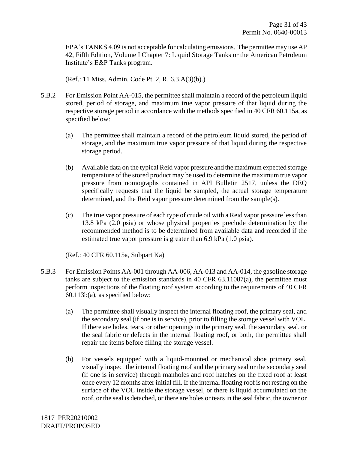EPA's TANKS 4.09 is not acceptable for calculating emissions. The permittee may use AP 42, Fifth Edition, Volume I Chapter 7: Liquid Storage Tanks or the American Petroleum Institute's E&P Tanks program.

(Ref.: 11 Miss. Admin. Code Pt. 2, R. 6.3.A(3)(b).)

- 5.B.2 For Emission Point AA-015, the permittee shall maintain a record of the petroleum liquid stored, period of storage, and maximum true vapor pressure of that liquid during the respective storage period in accordance with the methods specified in 40 CFR 60.115a, as specified below:
	- (a) The permittee shall maintain a record of the petroleum liquid stored, the period of storage, and the maximum true vapor pressure of that liquid during the respective storage period.
	- (b) Available data on the typical Reid vapor pressure and the maximum expected storage temperature of the stored product may be used to determine the maximum true vapor pressure from nomographs contained in API Bulletin 2517, unless the DEQ specifically requests that the liquid be sampled, the actual storage temperature determined, and the Reid vapor pressure determined from the sample(s).
	- (c) The true vapor pressure of each type of crude oil with a Reid vapor pressure less than 13.8 kPa (2.0 psia) or whose physical properties preclude determination by the recommended method is to be determined from available data and recorded if the estimated true vapor pressure is greater than 6.9 kPa (1.0 psia).

(Ref.: 40 CFR 60.115a, Subpart Ka)

- 5.B.3 For Emission Points AA-001 through AA-006, AA-013 and AA-014, the gasoline storage tanks are subject to the emission standards in 40 CFR 63.11087(a), the permittee must perform inspections of the floating roof system according to the requirements of 40 CFR 60.113b(a), as specified below:
	- (a) The permittee shall visually inspect the internal floating roof, the primary seal, and the secondary seal (if one is in service), prior to filling the storage vessel with VOL. If there are holes, tears, or other openings in the primary seal, the secondary seal, or the seal fabric or defects in the internal floating roof, or both, the permittee shall repair the items before filling the storage vessel.
	- (b) For vessels equipped with a liquid-mounted or mechanical shoe primary seal, visually inspect the internal floating roof and the primary seal or the secondary seal (if one is in service) through manholes and roof hatches on the fixed roof at least once every 12 months after initial fill. If the internal floating roof is not resting on the surface of the VOL inside the storage vessel, or there is liquid accumulated on the roof, or the seal is detached, or there are holes or tears in the seal fabric, the owner or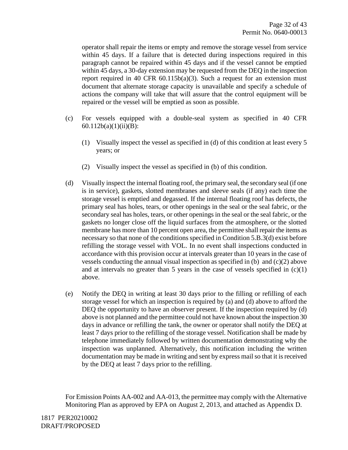operator shall repair the items or empty and remove the storage vessel from service within 45 days. If a failure that is detected during inspections required in this paragraph cannot be repaired within 45 days and if the vessel cannot be emptied within 45 days, a 30-day extension may be requested from the DEQ in the inspection report required in 40 CFR  $60.115b(a)(3)$ . Such a request for an extension must document that alternate storage capacity is unavailable and specify a schedule of actions the company will take that will assure that the control equipment will be repaired or the vessel will be emptied as soon as possible.

- (c) For vessels equipped with a double-seal system as specified in 40 CFR 60.112b(a)(1)(ii)(B):
	- (1) Visually inspect the vessel as specified in (d) of this condition at least every 5 years; or
	- (2) Visually inspect the vessel as specified in (b) of this condition.
- (d) Visually inspect the internal floating roof, the primary seal, the secondary seal (if one is in service), gaskets, slotted membranes and sleeve seals (if any) each time the storage vessel is emptied and degassed. If the internal floating roof has defects, the primary seal has holes, tears, or other openings in the seal or the seal fabric, or the secondary seal has holes, tears, or other openings in the seal or the seal fabric, or the gaskets no longer close off the liquid surfaces from the atmosphere, or the slotted membrane has more than 10 percent open area, the permittee shall repair the items as necessary so that none of the conditions specified in Condition 5.B.3(d) exist before refilling the storage vessel with VOL. In no event shall inspections conducted in accordance with this provision occur at intervals greater than 10 years in the case of vessels conducting the annual visual inspection as specified in (b) and (c)(2) above and at intervals no greater than  $5$  years in the case of vessels specified in  $(c)(1)$ above.
- (e) Notify the DEQ in writing at least 30 days prior to the filling or refilling of each storage vessel for which an inspection is required by (a) and (d) above to afford the DEQ the opportunity to have an observer present. If the inspection required by (d) above is not planned and the permittee could not have known about the inspection 30 days in advance or refilling the tank, the owner or operator shall notify the DEQ at least 7 days prior to the refilling of the storage vessel. Notification shall be made by telephone immediately followed by written documentation demonstrating why the inspection was unplanned. Alternatively, this notification including the written documentation may be made in writing and sent by express mail so that it is received by the DEQ at least 7 days prior to the refilling.

For Emission Points AA-002 and AA-013, the permittee may comply with the Alternative Monitoring Plan as approved by EPA on August 2, 2013, and attached as Appendix D.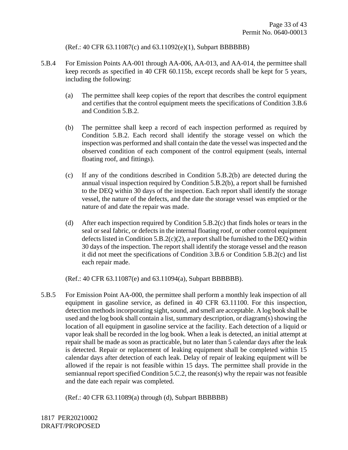(Ref.: 40 CFR 63.11087(c) and 63.11092(e)(1), Subpart BBBBBB)

- 5.B.4 For Emission Points AA-001 through AA-006, AA-013, and AA-014, the permittee shall keep records as specified in 40 CFR 60.115b, except records shall be kept for 5 years, including the following:
	- (a) The permittee shall keep copies of the report that describes the control equipment and certifies that the control equipment meets the specifications of Condition 3.B.6 and Condition 5.B.2.
	- (b) The permittee shall keep a record of each inspection performed as required by Condition 5.B.2. Each record shall identify the storage vessel on which the inspection was performed and shall contain the date the vessel was inspected and the observed condition of each component of the control equipment (seals, internal floating roof, and fittings).
	- (c) If any of the conditions described in Condition 5.B.2(b) are detected during the annual visual inspection required by Condition 5.B.2(b), a report shall be furnished to the DEQ within 30 days of the inspection. Each report shall identify the storage vessel, the nature of the defects, and the date the storage vessel was emptied or the nature of and date the repair was made.
	- (d) After each inspection required by Condition 5.B.2(c) that finds holes or tears in the seal or seal fabric, or defects in the internal floating roof, or other control equipment defects listed in Condition 5.B.2(c)(2), a report shall be furnished to the DEQ within 30 days of the inspection. The report shall identify the storage vessel and the reason it did not meet the specifications of Condition 3.B.6 or Condition 5.B.2(c) and list each repair made.

(Ref.: 40 CFR 63.11087(e) and 63.11094(a), Subpart BBBBBB).

5.B.5 For Emission Point AA-000, the permittee shall perform a monthly leak inspection of all equipment in gasoline service, as defined in 40 CFR 63.11100. For this inspection, detection methods incorporating sight, sound, and smell are acceptable. A log book shall be used and the log book shall contain a list, summary description, or diagram(s) showing the location of all equipment in gasoline service at the facility. Each detection of a liquid or vapor leak shall be recorded in the log book. When a leak is detected, an initial attempt at repair shall be made as soon as practicable, but no later than 5 calendar days after the leak is detected. Repair or replacement of leaking equipment shall be completed within 15 calendar days after detection of each leak. Delay of repair of leaking equipment will be allowed if the repair is not feasible within 15 days. The permittee shall provide in the semiannual report specified Condition 5.C.2, the reason(s) why the repair was not feasible and the date each repair was completed.

(Ref.: 40 CFR 63.11089(a) through (d), Subpart BBBBBB)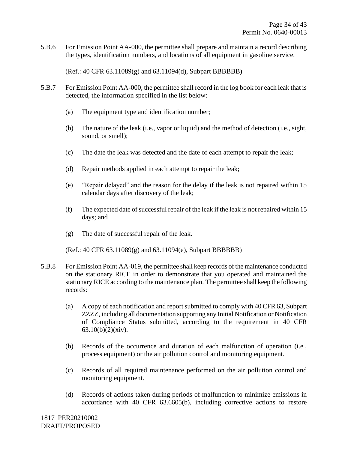5.B.6 For Emission Point AA-000, the permittee shall prepare and maintain a record describing the types, identification numbers, and locations of all equipment in gasoline service.

(Ref.: 40 CFR 63.11089(g) and 63.11094(d), Subpart BBBBBB)

- 5.B.7 For Emission Point AA-000, the permittee shall record in the log book for each leak that is detected, the information specified in the list below:
	- (a) The equipment type and identification number;
	- (b) The nature of the leak (i.e., vapor or liquid) and the method of detection (i.e., sight, sound, or smell);
	- (c) The date the leak was detected and the date of each attempt to repair the leak;
	- (d) Repair methods applied in each attempt to repair the leak;
	- (e) "Repair delayed" and the reason for the delay if the leak is not repaired within 15 calendar days after discovery of the leak;
	- (f) The expected date of successful repair of the leak if the leak is not repaired within 15 days; and
	- (g) The date of successful repair of the leak.
	- (Ref.: 40 CFR 63.11089(g) and 63.11094(e), Subpart BBBBBB)
- 5.B.8 For Emission Point AA-019, the permittee shall keep records of the maintenance conducted on the stationary RICE in order to demonstrate that you operated and maintained the stationary RICE according to the maintenance plan. The permittee shall keep the following records:
	- (a) A copy of each notification and report submitted to comply with 40 CFR 63, Subpart ZZZZ, including all documentation supporting any Initial Notification or Notification of Compliance Status submitted, according to the requirement in 40 CFR 63.10(b)(2)(xiv).
	- (b) Records of the occurrence and duration of each malfunction of operation (i.e., process equipment) or the air pollution control and monitoring equipment.
	- (c) Records of all required maintenance performed on the air pollution control and monitoring equipment.
	- (d) Records of actions taken during periods of malfunction to minimize emissions in accordance with 40 CFR 63.6605(b), including corrective actions to restore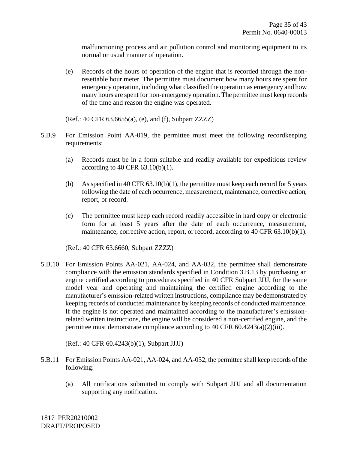malfunctioning process and air pollution control and monitoring equipment to its normal or usual manner of operation.

(e) Records of the hours of operation of the engine that is recorded through the nonresettable hour meter. The permittee must document how many hours are spent for emergency operation, including what classified the operation as emergency and how many hours are spent for non-emergency operation. The permittee must keep records of the time and reason the engine was operated.

(Ref.: 40 CFR 63.6655(a), (e), and (f), Subpart ZZZZ)

- 5.B.9 For Emission Point AA-019, the permittee must meet the following recordkeeping requirements:
	- (a) Records must be in a form suitable and readily available for expeditious review according to 40 CFR  $63.10(b)(1)$ .
	- (b) As specified in 40 CFR 63.10(b)(1), the permittee must keep each record for 5 years following the date of each occurrence, measurement, maintenance, corrective action, report, or record.
	- (c) The permittee must keep each record readily accessible in hard copy or electronic form for at least 5 years after the date of each occurrence, measurement, maintenance, corrective action, report, or record, according to 40 CFR 63.10(b)(1).

(Ref.: 40 CFR 63.6660, Subpart ZZZZ)

5.B.10 For Emission Points AA-021, AA-024, and AA-032, the permittee shall demonstrate compliance with the emission standards specified in Condition 3.B.13 by purchasing an engine certified according to procedures specified in 40 CFR Subpart JJJJ, for the same model year and operating and maintaining the certified engine according to the manufacturer's emission-related written instructions, compliance may be demonstrated by keeping records of conducted maintenance by keeping records of conducted maintenance. If the engine is not operated and maintained according to the manufacturer's emissionrelated written instructions, the engine will be considered a non-certified engine, and the permittee must demonstrate compliance according to 40 CFR 60.4243(a)(2)(iii).

(Ref.: 40 CFR 60.4243(b)(1), Subpart JJJJ)

- 5.B.11 For Emission Points AA-021, AA-024, and AA-032, the permittee shall keep records of the following:
	- (a) All notifications submitted to comply with Subpart JJJJ and all documentation supporting any notification.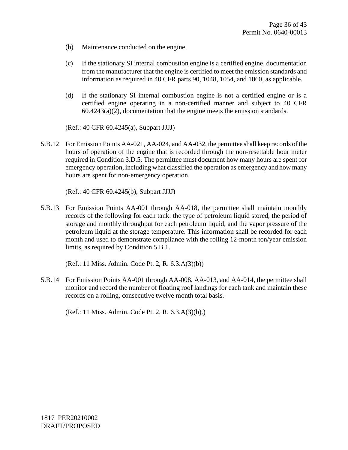- (b) Maintenance conducted on the engine.
- (c) If the stationary SI internal combustion engine is a certified engine, documentation from the manufacturer that the engine is certified to meet the emission standards and information as required in 40 CFR parts 90, 1048, 1054, and 1060, as applicable.
- (d) If the stationary SI internal combustion engine is not a certified engine or is a certified engine operating in a non-certified manner and subject to 40 CFR  $60.4243(a)(2)$ , documentation that the engine meets the emission standards.

(Ref.: 40 CFR 60.4245(a), Subpart JJJJ)

5.B.12 For Emission Points AA-021, AA-024, and AA-032, the permittee shall keep records of the hours of operation of the engine that is recorded through the non-resettable hour meter required in Condition 3.D.5. The permittee must document how many hours are spent for emergency operation, including what classified the operation as emergency and how many hours are spent for non-emergency operation.

(Ref.: 40 CFR 60.4245(b), Subpart JJJJ)

5.B.13 For Emission Points AA-001 through AA-018, the permittee shall maintain monthly records of the following for each tank: the type of petroleum liquid stored, the period of storage and monthly throughput for each petroleum liquid, and the vapor pressure of the petroleum liquid at the storage temperature. This information shall be recorded for each month and used to demonstrate compliance with the rolling 12-month ton/year emission limits, as required by Condition 5.B.1.

(Ref.: 11 Miss. Admin. Code Pt. 2, R. 6.3.A(3)(b))

5.B.14 For Emission Points AA-001 through AA-008, AA-013, and AA-014, the permittee shall monitor and record the number of floating roof landings for each tank and maintain these records on a rolling, consecutive twelve month total basis.

(Ref.: 11 Miss. Admin. Code Pt. 2, R. 6.3.A(3)(b).)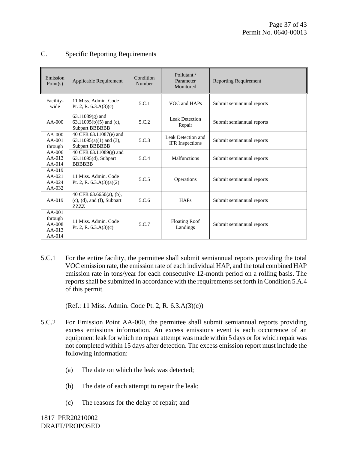| Emission<br>Point(s)                                    | Applicable Requirement                                                        | Condition<br>Number | Pollutant/<br>Parameter<br>Monitored         | <b>Reporting Requirement</b> |
|---------------------------------------------------------|-------------------------------------------------------------------------------|---------------------|----------------------------------------------|------------------------------|
| Facility-<br>wide                                       | 11 Miss. Admin. Code<br>Pt. 2, R. $6.3.A(3)(c)$                               | 5.C.1               | VOC and HAPs                                 | Submit semiannual reports    |
| $AA-000$                                                | $63.11089(g)$ and<br>$63.11095(b)(5)$ and (c),<br><b>Subpart BBBBBB</b>       | 5.C.2               | <b>Leak Detection</b><br>Repair              | Submit semiannual reports    |
| $AA-000$<br>$AA-001$<br>through                         | 40 CFR 63.11087(e) and<br>$63.11095(a)(1)$ and (3),<br><b>Subpart BBBBBB</b>  | 5.C.3               | Leak Detection and<br><b>IFR</b> Inspections | Submit semiannual reports    |
| $AA-006$<br>$AA-013$<br>$AA-014$                        | 40 CFR 63.11089(g) and<br>63.11095(d), Subpart<br><b>BBBBBB</b>               | 5.C.4               | <b>Malfunctions</b>                          | Submit semiannual reports    |
| $AA-019$<br>$AA-021$<br>$AA-024$<br>$AA-032$            | 11 Miss. Admin. Code<br>Pt. 2, R. $6.3.A(3)(a)(2)$                            | 5.C.5               | Operations                                   | Submit semiannual reports    |
| $AA-019$                                                | 40 CFR $63.6650(a)$ , (b),<br>$(c)$ , $(d)$ , and $(f)$ , Subpart<br>7.7.7.7. | 5.C.6               | <b>HAPs</b>                                  | Submit semiannual reports    |
| $AA-001$<br>through<br>$AA-008$<br>$AA-013$<br>$AA-014$ | 11 Miss. Admin. Code<br>Pt. 2, R. $6.3.A(3)(c)$                               | 5.C.7               | <b>Floating Roof</b><br>Landings             | Submit semiannual reports    |

#### C. Specific Reporting Requirements

5.C.1 For the entire facility, the permittee shall submit semiannual reports providing the total VOC emission rate, the emission rate of each individual HAP, and the total combined HAP emission rate in tons/year for each consecutive 12-month period on a rolling basis. The reports shall be submitted in accordance with the requirements set forth in Condition 5.A.4 of this permit.

(Ref.: 11 Miss. Admin. Code Pt. 2, R. 6.3.A(3)(c))

- 5.C.2 For Emission Point AA-000, the permittee shall submit semiannual reports providing excess emissions information. An excess emissions event is each occurrence of an equipment leak for which no repair attempt was made within 5 days or for which repair was not completed within 15 days after detection. The excess emission report must include the following information:
	- (a) The date on which the leak was detected;
	- (b) The date of each attempt to repair the leak;
	- (c) The reasons for the delay of repair; and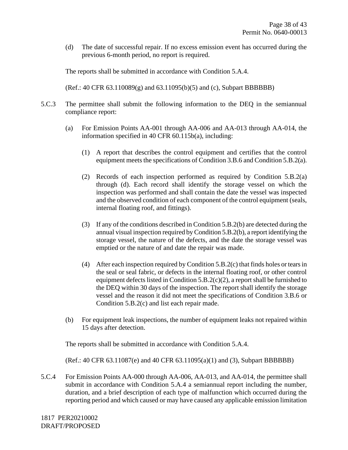(d) The date of successful repair. If no excess emission event has occurred during the previous 6-month period, no report is required.

The reports shall be submitted in accordance with Condition 5.A.4.

(Ref.: 40 CFR 63.110089(g) and 63.11095(b)(5) and (c), Subpart BBBBBB)

- 5.C.3 The permittee shall submit the following information to the DEQ in the semiannual compliance report:
	- (a) For Emission Points AA-001 through AA-006 and AA-013 through AA-014, the information specified in 40 CFR 60.115b(a), including:
		- (1) A report that describes the control equipment and certifies that the control equipment meets the specifications of Condition 3.B.6 and Condition 5.B.2(a).
		- (2) Records of each inspection performed as required by Condition 5.B.2(a) through (d). Each record shall identify the storage vessel on which the inspection was performed and shall contain the date the vessel was inspected and the observed condition of each component of the control equipment (seals, internal floating roof, and fittings).
		- (3) If any of the conditions described in Condition 5.B.2(b) are detected during the annual visual inspection required by Condition 5.B.2(b), a report identifying the storage vessel, the nature of the defects, and the date the storage vessel was emptied or the nature of and date the repair was made.
		- (4) After each inspection required by Condition 5.B.2(c) that finds holes or tears in the seal or seal fabric, or defects in the internal floating roof, or other control equipment defects listed in Condition 5.B.2(c)(2), a report shall be furnished to the DEQ within 30 days of the inspection. The report shall identify the storage vessel and the reason it did not meet the specifications of Condition 3.B.6 or Condition 5.B.2(c) and list each repair made.
	- (b) For equipment leak inspections, the number of equipment leaks not repaired within 15 days after detection.

The reports shall be submitted in accordance with Condition 5.A.4.

(Ref.: 40 CFR 63.11087(e) and 40 CFR 63.11095(a)(1) and (3), Subpart BBBBBB)

5.C.4 For Emission Points AA-000 through AA-006, AA-013, and AA-014, the permittee shall submit in accordance with Condition 5.A.4 a semiannual report including the number, duration, and a brief description of each type of malfunction which occurred during the reporting period and which caused or may have caused any applicable emission limitation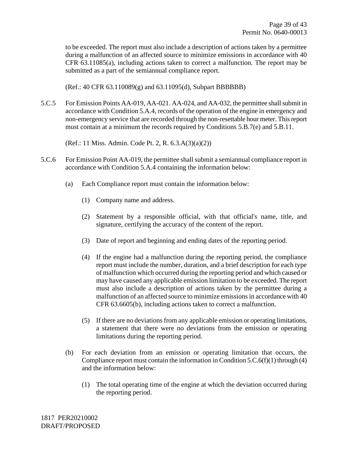to be exceeded. The report must also include a description of actions taken by a permittee during a malfunction of an affected source to minimize emissions in accordance with 40 CFR 63.11085(a), including actions taken to correct a malfunction. The report may be submitted as a part of the semiannual compliance report.

(Ref.: 40 CFR 63.110089(g) and 63.11095(d), Subpart BBBBBB)

5.C.5 For Emission Points AA-019, AA-021. AA-024, and AA-032, the permittee shall submit in accordance with Condition 5.A.4, records of the operation of the engine in emergency and non-emergency service that are recorded through the non-resettable hour meter. This report must contain at a minimum the records required by Conditions 5.B.7(e) and 5.B.11.

(Ref.: 11 Miss. Admin. Code Pt. 2, R. 6.3.A(3)(a)(2))

- 5.C.6 For Emission Point AA-019, the permittee shallsubmit a semiannual compliance report in accordance with Condition 5.A.4 containing the information below:
	- (a) Each Compliance report must contain the information below:
		- (1) Company name and address.
		- (2) Statement by a responsible official, with that official's name, title, and signature, certifying the accuracy of the content of the report.
		- (3) Date of report and beginning and ending dates of the reporting period.
		- (4) If the engine had a malfunction during the reporting period, the compliance report must include the number, duration, and a brief description for each type of malfunction which occurred during the reporting period and which caused or may have caused any applicable emission limitation to be exceeded. The report must also include a description of actions taken by the permittee during a malfunction of an affected source to minimize emissions in accordance with 40 CFR 63.6605(b), including actions taken to correct a malfunction.
		- (5) If there are no deviations from any applicable emission or operating limitations, a statement that there were no deviations from the emission or operating limitations during the reporting period.
	- (b) For each deviation from an emission or operating limitation that occurs, the Compliance report must contain the information in Condition 5.C.6(f)(1) through (4) and the information below:
		- (1) The total operating time of the engine at which the deviation occurred during the reporting period.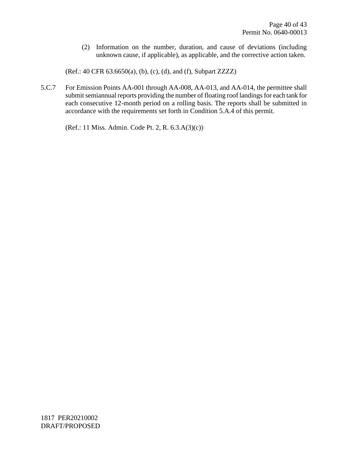(2) Information on the number, duration, and cause of deviations (including unknown cause, if applicable), as applicable, and the corrective action taken.

(Ref.: 40 CFR 63.6650(a), (b), (c), (d), and (f), Subpart ZZZZ)

5.C.7 For Emission Points AA-001 through AA-008, AA-013, and AA-014, the permittee shall submit semiannual reports providing the number of floating roof landings for each tank for each consecutive 12-month period on a rolling basis. The reports shall be submitted in accordance with the requirements set forth in Condition 5.A.4 of this permit.

(Ref.: 11 Miss. Admin. Code Pt. 2, R. 6.3.A(3)(c))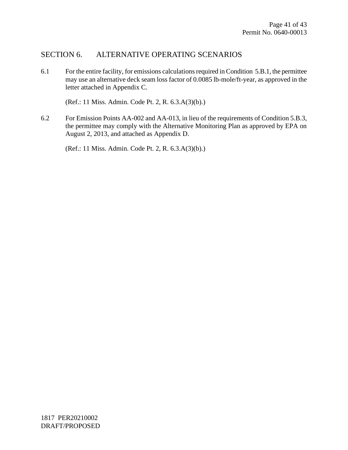### SECTION 6. ALTERNATIVE OPERATING SCENARIOS

6.1 For the entire facility, for emissions calculations required in Condition 5.B.1, the permittee may use an alternative deck seam loss factor of 0.0085 lb-mole/ft-year, as approved in the letter attached in Appendix C.

(Ref.: 11 Miss. Admin. Code Pt. 2, R. 6.3.A(3)(b).)

6.2 For Emission Points AA-002 and AA-013, in lieu of the requirements of Condition 5.B.3, the permittee may comply with the Alternative Monitoring Plan as approved by EPA on August 2, 2013, and attached as Appendix D.

(Ref.: 11 Miss. Admin. Code Pt. 2, R. 6.3.A(3)(b).)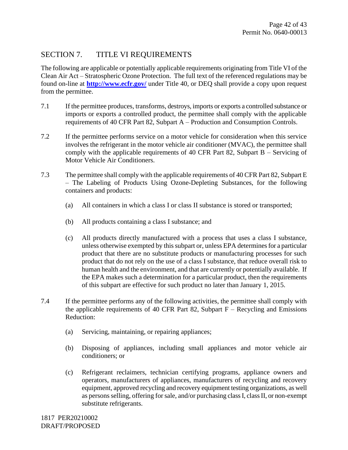### SECTION 7. TITLE VI REQUIREMENTS

The following are applicable or potentially applicable requirements originating from Title VI of the Clean Air Act – Stratospheric Ozone Protection. The full text of the referenced regulations may be found on-line at **<http://www.ecfr.gov/>** under Title 40, or DEQ shall provide a copy upon request from the permittee.

- 7.1 If the permittee produces, transforms, destroys, imports or exports a controlled substance or imports or exports a controlled product, the permittee shall comply with the applicable requirements of 40 CFR Part 82, Subpart A – Production and Consumption Controls.
- 7.2 If the permittee performs service on a motor vehicle for consideration when this service involves the refrigerant in the motor vehicle air conditioner (MVAC), the permittee shall comply with the applicable requirements of 40 CFR Part 82, Subpart B – Servicing of Motor Vehicle Air Conditioners.
- 7.3 The permittee shall comply with the applicable requirements of 40 CFR Part 82, Subpart E – The Labeling of Products Using Ozone-Depleting Substances, for the following containers and products:
	- (a) All containers in which a class I or class II substance is stored or transported;
	- (b) All products containing a class I substance; and
	- (c) All products directly manufactured with a process that uses a class I substance, unless otherwise exempted by this subpart or, unless EPA determines for a particular product that there are no substitute products or manufacturing processes for such product that do not rely on the use of a class I substance, that reduce overall risk to human health and the environment, and that are currently or potentially available. If the EPA makes such a determination for a particular product, then the requirements of this subpart are effective for such product no later than January 1, 2015.
- 7.4 If the permittee performs any of the following activities, the permittee shall comply with the applicable requirements of 40 CFR Part 82, Subpart  $F -$  Recycling and Emissions Reduction:
	- (a) Servicing, maintaining, or repairing appliances;
	- (b) Disposing of appliances, including small appliances and motor vehicle air conditioners; or
	- (c) Refrigerant reclaimers, technician certifying programs, appliance owners and operators, manufacturers of appliances, manufacturers of recycling and recovery equipment, approved recycling and recovery equipment testing organizations, as well as persons selling, offering for sale, and/or purchasing class I, class II, or non-exempt substitute refrigerants.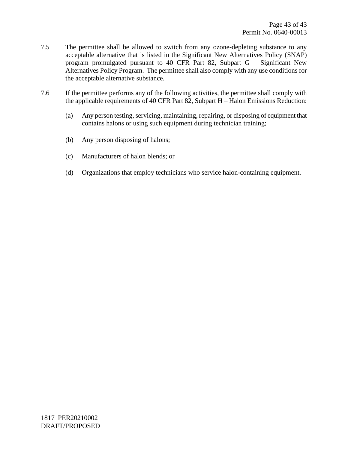- 7.5 The permittee shall be allowed to switch from any ozone-depleting substance to any acceptable alternative that is listed in the Significant New Alternatives Policy (SNAP) program promulgated pursuant to 40 CFR Part 82, Subpart G – Significant New Alternatives Policy Program. The permittee shall also comply with any use conditions for the acceptable alternative substance.
- <span id="page-42-0"></span>7.6 If the permittee performs any of the following activities, the permittee shall comply with the applicable requirements of 40 CFR Part 82, Subpart H – Halon Emissions Reduction:
	- (a) Any person testing, servicing, maintaining, repairing, or disposing of equipment that contains halons or using such equipment during technician training;
	- (b) Any person disposing of halons;
	- (c) Manufacturers of halon blends; or
	- (d) Organizations that employ technicians who service halon-containing equipment.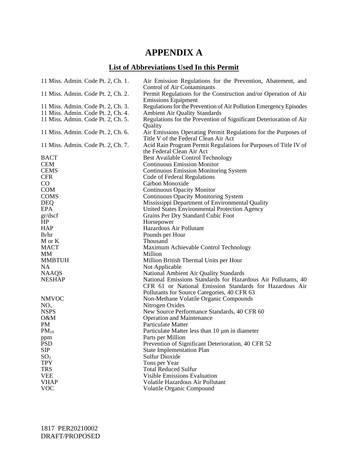## **APPENDIX A**

## **List of Abbreviations Used In this Permit**

| 11 Miss. Admin. Code Pt. 2, Ch. 1. | Air Emission Regulations for the Prevention, Abatement, and<br><b>Control of Air Contaminants</b>      |
|------------------------------------|--------------------------------------------------------------------------------------------------------|
| 11 Miss. Admin. Code Pt. 2, Ch. 2. | Permit Regulations for the Construction and/or Operation of Air<br><b>Emissions Equipment</b>          |
| 11 Miss. Admin. Code Pt. 2, Ch. 3. | Regulations for the Prevention of Air Pollution Emergency Episodes                                     |
| 11 Miss. Admin. Code Pt. 2, Ch. 4. | <b>Ambient Air Quality Standards</b>                                                                   |
| 11 Miss. Admin. Code Pt. 2, Ch. 5. | Regulations for the Prevention of Significant Deterioration of Air                                     |
|                                    | Quality                                                                                                |
| 11 Miss. Admin. Code Pt. 2, Ch. 6. | Air Emissions Operating Permit Regulations for the Purposes of<br>Title V of the Federal Clean Air Act |
| 11 Miss. Admin. Code Pt. 2, Ch. 7. | Acid Rain Program Permit Regulations for Purposes of Title IV of<br>the Federal Clean Air Act          |
| <b>BACT</b>                        | Best Available Control Technology                                                                      |
| <b>CEM</b>                         | <b>Continuous Emission Monitor</b>                                                                     |
| <b>CEMS</b>                        | <b>Continuous Emission Monitoring System</b>                                                           |
| <b>CFR</b>                         | Code of Federal Regulations                                                                            |
| $\rm CO$                           | Carbon Monoxide                                                                                        |
| <b>COM</b>                         | <b>Continuous Opacity Monitor</b>                                                                      |
| <b>COMS</b>                        | <b>Continuous Opacity Monitoring System</b>                                                            |
| <b>DEQ</b>                         | Mississippi Department of Environmental Quality                                                        |
| <b>EPA</b>                         | United States Environmental Protection Agency                                                          |
| gr/dscf                            | Grains Per Dry Standard Cubic Foot                                                                     |
| HP                                 | Horsepower                                                                                             |
| <b>HAP</b>                         | Hazardous Air Pollutant                                                                                |
| lb/hr                              | Pounds per Hour                                                                                        |
| M or K                             | Thousand                                                                                               |
| <b>MACT</b>                        | Maximum Achievable Control Technology                                                                  |
| MM                                 | Million                                                                                                |
| <b>MMBTUH</b>                      | Million British Thermal Units per Hour                                                                 |
| NA                                 | Not Applicable                                                                                         |
| <b>NAAQS</b>                       | National Ambient Air Quality Standards                                                                 |
| <b>NESHAP</b>                      | National Emissions Standards for Hazardous Air Pollutants, 40                                          |
|                                    | CFR 61 or National Emission Standards for Hazardous Air                                                |
|                                    | Pollutants for Source Categories, 40 CFR 63                                                            |
| <b>NMVOC</b>                       | Non-Methane Volatile Organic Compounds                                                                 |
| NO <sub>x</sub>                    | Nitrogen Oxides                                                                                        |
| <b>NSPS</b>                        | New Source Performance Standards, 40 CFR 60                                                            |
| O&M                                | <b>Operation and Maintenance</b>                                                                       |
| PM                                 | <b>Particulate Matter</b>                                                                              |
| $PM_{10}$                          | Particulate Matter less than 10 µm in diameter                                                         |
| ppm                                | Parts per Million                                                                                      |
| <b>PSD</b>                         | Prevention of Significant Deterioration, 40 CFR 52                                                     |
| <b>SIP</b>                         | <b>State Implementation Plan</b>                                                                       |
| SO <sub>2</sub>                    | <b>Sulfur Dioxide</b>                                                                                  |
| <b>TPY</b>                         | Tons per Year                                                                                          |
| <b>TRS</b>                         | <b>Total Reduced Sulfur</b>                                                                            |
| <b>VEE</b>                         | <b>Visible Emissions Evaluation</b>                                                                    |
| <b>VHAP</b>                        | Volatile Hazardous Air Pollutant                                                                       |
| <b>VOC</b>                         | Volatile Organic Compound                                                                              |